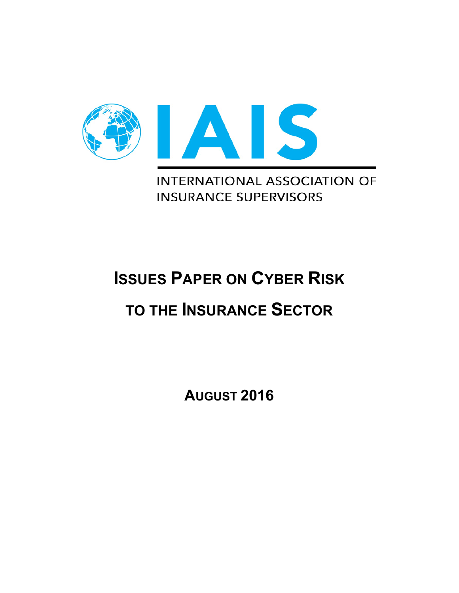

**INTERNATIONAL ASSOCIATION OF INSURANCE SUPERVISORS** 

# **ISSUES PAPER ON CYBER RISK**

## **TO THE INSURANCE SECTOR**

**AUGUST 2016**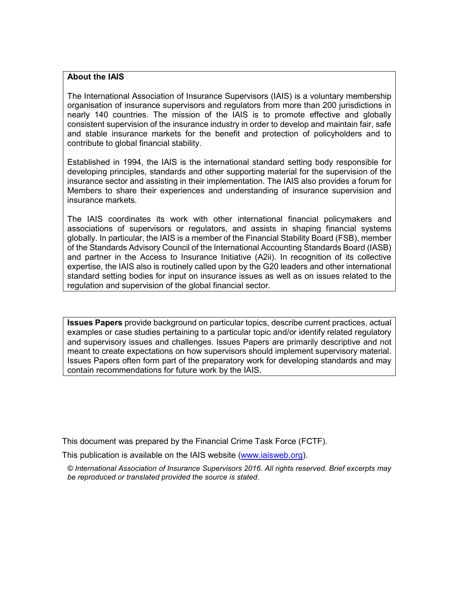#### **About the IAIS**

The International Association of Insurance Supervisors (IAIS) is a voluntary membership organisation of insurance supervisors and regulators from more than 200 jurisdictions in nearly 140 countries. The mission of the IAIS is to promote effective and globally consistent supervision of the insurance industry in order to develop and maintain fair, safe and stable insurance markets for the benefit and protection of policyholders and to contribute to global financial stability.

Established in 1994, the IAIS is the international standard setting body responsible for developing principles, standards and other supporting material for the supervision of the insurance sector and assisting in their implementation. The IAIS also provides a forum for Members to share their experiences and understanding of insurance supervision and insurance markets.

The IAIS coordinates its work with other international financial policymakers and associations of supervisors or regulators, and assists in shaping financial systems globally. In particular, the IAIS is a member of the Financial Stability Board (FSB), member of the Standards Advisory Council of the International Accounting Standards Board (IASB) and partner in the Access to Insurance Initiative (A2ii). In recognition of its collective expertise, the IAIS also is routinely called upon by the G20 leaders and other international standard setting bodies for input on insurance issues as well as on issues related to the regulation and supervision of the global financial sector.

**Issues Papers** provide background on particular topics, describe current practices, actual examples or case studies pertaining to a particular topic and/or identify related regulatory and supervisory issues and challenges. Issues Papers are primarily descriptive and not meant to create expectations on how supervisors should implement supervisory material. Issues Papers often form part of the preparatory work for developing standards and may contain recommendations for future work by the IAIS.

This document was prepared by the Financial Crime Task Force (FCTF).

This publication is available on the IAIS website [\(www.iaisweb.org\)](http://www.iaisweb.org/).

*© International Association of Insurance Supervisors 2016. All rights reserved. Brief excerpts may be reproduced or translated provided the source is stated.*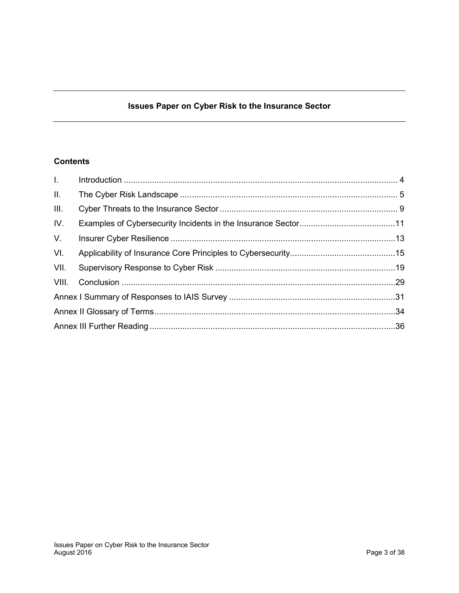## **Issues Paper on Cyber Risk to the Insurance Sector**

## **Contents**

| $L =$       |  |
|-------------|--|
| II.         |  |
| III.        |  |
| IV.         |  |
| $V_{\cdot}$ |  |
| VI.         |  |
| VII.        |  |
|             |  |
|             |  |
|             |  |
|             |  |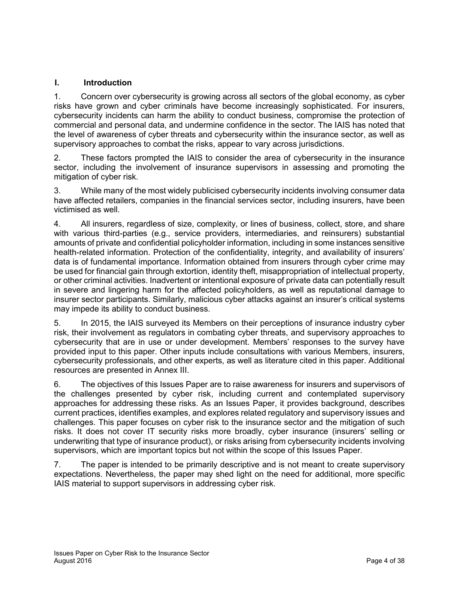## <span id="page-3-0"></span>**I. Introduction**

1. Concern over cybersecurity is growing across all sectors of the global economy, as cyber risks have grown and cyber criminals have become increasingly sophisticated. For insurers, cybersecurity incidents can harm the ability to conduct business, compromise the protection of commercial and personal data, and undermine confidence in the sector. The IAIS has noted that the level of awareness of cyber threats and cybersecurity within the insurance sector, as well as supervisory approaches to combat the risks, appear to vary across jurisdictions.

2. These factors prompted the IAIS to consider the area of cybersecurity in the insurance sector, including the involvement of insurance supervisors in assessing and promoting the mitigation of cyber risk.

3. While many of the most widely publicised cybersecurity incidents involving consumer data have affected retailers, companies in the financial services sector, including insurers, have been victimised as well.

4. All insurers, regardless of size, complexity, or lines of business, collect, store, and share with various third-parties (e.g., service providers, intermediaries, and reinsurers) substantial amounts of private and confidential policyholder information, including in some instances sensitive health-related information. Protection of the confidentiality, integrity, and availability of insurers' data is of fundamental importance. Information obtained from insurers through cyber crime may be used for financial gain through extortion, identity theft, misappropriation of intellectual property, or other criminal activities. Inadvertent or intentional exposure of private data can potentially result in severe and lingering harm for the affected policyholders, as well as reputational damage to insurer sector participants. Similarly, malicious cyber attacks against an insurer's critical systems may impede its ability to conduct business.

5. In 2015, the IAIS surveyed its Members on their perceptions of insurance industry cyber risk, their involvement as regulators in combating cyber threats, and supervisory approaches to cybersecurity that are in use or under development. Members' responses to the survey have provided input to this paper. Other inputs include consultations with various Members, insurers, cybersecurity professionals, and other experts, as well as literature cited in this paper. Additional resources are presented in Annex III.

6. The objectives of this Issues Paper are to raise awareness for insurers and supervisors of the challenges presented by cyber risk, including current and contemplated supervisory approaches for addressing these risks. As an Issues Paper, it provides background, describes current practices, identifies examples, and explores related regulatory and supervisory issues and challenges. This paper focuses on cyber risk to the insurance sector and the mitigation of such risks. It does not cover IT security risks more broadly, cyber insurance (insurers' selling or underwriting that type of insurance product), or risks arising from cybersecurity incidents involving supervisors, which are important topics but not within the scope of this Issues Paper.

7. The paper is intended to be primarily descriptive and is not meant to create supervisory expectations. Nevertheless, the paper may shed light on the need for additional, more specific IAIS material to support supervisors in addressing cyber risk.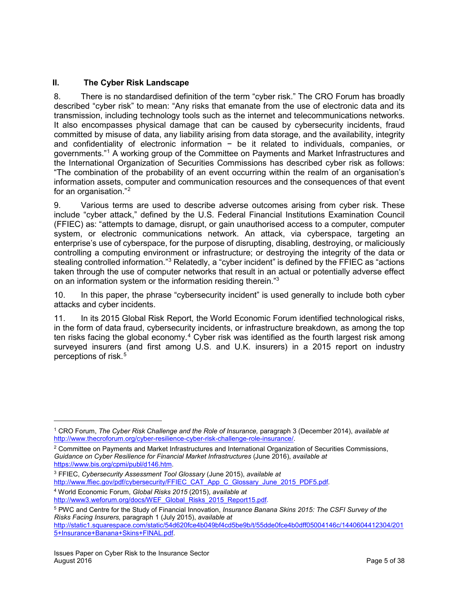## <span id="page-4-0"></span>**II. The Cyber Risk Landscape**

8. There is no standardised definition of the term "cyber risk." The CRO Forum has broadly described "cyber risk" to mean: "Any risks that emanate from the use of electronic data and its transmission, including technology tools such as the internet and telecommunications networks. It also encompasses physical damage that can be caused by cybersecurity incidents, fraud committed by misuse of data, any liability arising from data storage, and the availability, integrity and confidentiality of electronic information - be it related to individuals, companies, or governments."[1](#page-4-2) A working group of the Committee on Payments and Market Infrastructures and the International Organization of Securities Commissions has described cyber risk as follows: "The combination of the probability of an event occurring within the realm of an organisation's information assets, computer and communication resources and the consequences of that event for an organisation."[2](#page-4-3)

9. Various terms are used to describe adverse outcomes arising from cyber risk. These include "cyber attack," defined by the U.S. Federal Financial Institutions Examination Council (FFIEC) as: "attempts to damage, disrupt, or gain unauthorised access to a computer, computer system, or electronic communications network. An attack, via cyberspace, targeting an enterprise's use of cyberspace, for the purpose of disrupting, disabling, destroying, or maliciously controlling a computing environment or infrastructure; or destroying the integrity of the data or stealing controlled information."<sup>[3](#page-4-4)</sup> Relatedly, a "cyber incident" is defined by the FFIEC as "actions" taken through the use of computer networks that result in an actual or potentially adverse effect on an information system or the information residing therein.["3](#page-4-1)

<span id="page-4-1"></span>10. In this paper, the phrase "cybersecurity incident" is used generally to include both cyber attacks and cyber incidents.

11. In its 2015 Global Risk Report, the World Economic Forum identified technological risks, in the form of data fraud, cybersecurity incidents, or infrastructure breakdown, as among the top ten risks facing the global economy.<sup>[4](#page-4-5)</sup> Cyber risk was identified as the fourth largest risk among surveyed insurers (and first among U.S. and U.K. insurers) in a 2015 report on industry perceptions of risk.<sup>[5](#page-4-6)</sup>

[http://www.ffiec.gov/pdf/cybersecurity/FFIEC\\_CAT\\_App\\_C\\_Glossary\\_June\\_2015\\_PDF5.pdf.](http://www.ffiec.gov/pdf/cybersecurity/FFIEC_CAT_App_C_Glossary_June_2015_PDF5.pdf) <sup>4</sup> World Economic Forum, *Global Risks 2015* (2015), *available at* 

l

<span id="page-4-2"></span><sup>1</sup> CRO Forum, *The Cyber Risk Challenge and the Role of Insurance,* paragraph 3 (December 2014), *available at* [http://www.thecroforum.org/cyber-resilience-cyber-risk-challenge-role-insurance/.](http://www.thecroforum.org/cyber-resilience-cyber-risk-challenge-role-insurance/)

<span id="page-4-3"></span><sup>2</sup> Committee on Payments and Market Infrastructures and International Organization of Securities Commissions, *Guidance on Cyber Resilience for Financial Market Infrastructures* (June 2016), *available at*  [https://www.bis.org/cpmi/publ/d146.htm.](https://www.bis.org/cpmi/publ/d146.htm)

<span id="page-4-4"></span><sup>3</sup> FFIEC, *Cybersecurity Assessment Tool Glossary* (June 2015), *available at* 

<span id="page-4-5"></span>[http://www3.weforum.org/docs/WEF\\_Global\\_Risks\\_2015\\_Report15.pdf.](http://www3.weforum.org/docs/WEF_Global_Risks_2015_Report15.pdf)

<span id="page-4-6"></span><sup>5</sup> PWC and Centre for the Study of Financial Innovation, *Insurance Banana Skins 2015: The CSFI Survey of the Risks Facing Insurers,* paragraph 1 (July 2015), *available at*

[http://static1.squarespace.com/static/54d620fce4b049bf4cd5be9b/t/55dde0fce4b0dff05004146c/1440604412304/201](http://static1.squarespace.com/static/54d620fce4b049bf4cd5be9b/t/55dde0fce4b0dff05004146c/1440604412304/2015+Insurance+Banana+Skins+FINAL.pdf) [5+Insurance+Banana+Skins+FINAL.pdf.](http://static1.squarespace.com/static/54d620fce4b049bf4cd5be9b/t/55dde0fce4b0dff05004146c/1440604412304/2015+Insurance+Banana+Skins+FINAL.pdf)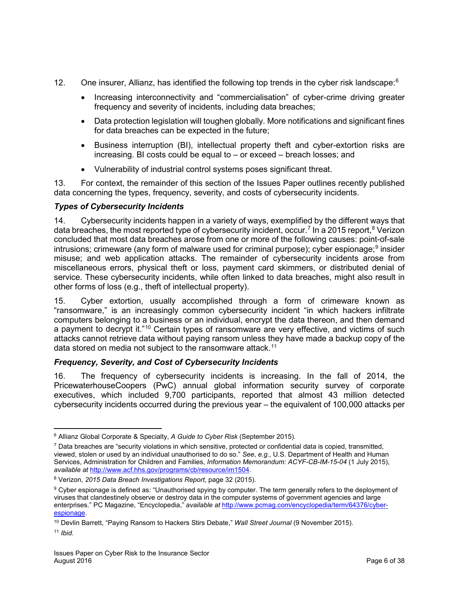- 12. One insurer, Allianz, has identified the following top trends in the cyber risk landscape:<sup>[6](#page-5-0)</sup>
	- Increasing interconnectivity and "commercialisation" of cyber-crime driving greater frequency and severity of incidents, including data breaches;
	- Data protection legislation will toughen globally. More notifications and significant fines for data breaches can be expected in the future;
	- Business interruption (BI), intellectual property theft and cyber-extortion risks are increasing. BI costs could be equal to – or exceed – breach losses; and
	- Vulnerability of industrial control systems poses significant threat.

13. For context, the remainder of this section of the Issues Paper outlines recently published data concerning the types, frequency, severity, and costs of cybersecurity incidents.

## *Types of Cybersecurity Incidents*

14. Cybersecurity incidents happen in a variety of ways, exemplified by the different ways that data breaches, the most reported type of cybersecurity incident, occur.<sup>[7](#page-5-1)</sup> In a 2015 report,<sup>[8](#page-5-2)</sup> Verizon concluded that most data breaches arose from one or more of the following causes: point-of-sale intrusions; crimeware (any form of malware used for criminal purpose); cyber espionage;<sup>[9](#page-5-3)</sup> insider misuse; and web application attacks. The remainder of cybersecurity incidents arose from miscellaneous errors, physical theft or loss, payment card skimmers, or distributed denial of service. These cybersecurity incidents, while often linked to data breaches, might also result in other forms of loss (e.g., theft of intellectual property).

15. Cyber extortion, usually accomplished through a form of crimeware known as "ransomware," is an increasingly common cybersecurity incident "in which hackers infiltrate computers belonging to a business or an individual, encrypt the data thereon, and then demand a payment to decrypt it."<sup>[10](#page-5-4)</sup> Certain types of ransomware are very effective, and victims of such attacks cannot retrieve data without paying ransom unless they have made a backup copy of the data stored on media not subject to the ransomware attack.<sup>[11](#page-5-5)</sup>

## *Frequency, Severity, and Cost of Cybersecurity Incidents*

16. The frequency of cybersecurity incidents is increasing. In the fall of 2014, the PricewaterhouseCoopers (PwC) annual global information security survey of corporate executives, which included 9,700 participants, reported that almost 43 million detected cybersecurity incidents occurred during the previous year – the equivalent of 100,000 attacks per

<span id="page-5-0"></span> $\overline{\phantom{a}}$ <sup>6</sup> Allianz Global Corporate & Specialty, *A Guide to Cyber Risk* (September 2015).

<span id="page-5-1"></span><sup>7</sup> Data breaches are "security violations in which sensitive, protected or confidential data is copied, transmitted, viewed, stolen or used by an individual unauthorised to do so." *See*, *e.g.*, U.S. Department of Health and Human Services, Administration for Children and Families, *Information Memorandum: ACYF-CB-IM-15-04* (1 July 2015), *available at* [http://www.acf.hhs.gov/programs/cb/resource/im1504.](http://www.acf.hhs.gov/programs/cb/resource/im1504)

<span id="page-5-2"></span><sup>8</sup> Verizon, *2015 Data Breach Investigations Report*, page 32 (2015).

<span id="page-5-3"></span><sup>&</sup>lt;sup>9</sup> Cyber espionage is defined as: "Unauthorised spying by computer. The term generally refers to the deployment of viruses that clandestinely observe or destroy data in the computer systems of government agencies and large enterprises." PC Magazine, "Encyclopedia," *available at* [http://www.pcmag.com/encyclopedia/term/64376/cyber](http://www.pcmag.com/encyclopedia/term/64376/cyber-espionage)[espionage.](http://www.pcmag.com/encyclopedia/term/64376/cyber-espionage)

<span id="page-5-5"></span><span id="page-5-4"></span><sup>10</sup> Devlin Barrett, "Paying Ransom to Hackers Stirs Debate," *Wall Street Journal* (9 November 2015). <sup>11</sup> *Ibid.*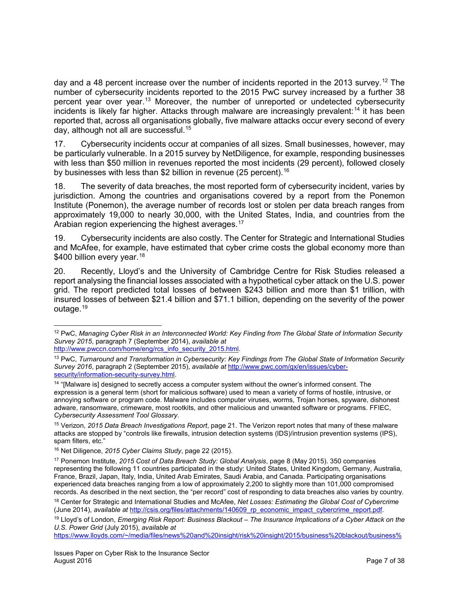day and a 48 percent increase over the number of incidents reported in the 2013 survey.<sup>[12](#page-6-0)</sup> The number of cybersecurity incidents reported to the 2015 PwC survey increased by a further 38 percent year over year. [13](#page-6-1) Moreover, the number of unreported or undetected cybersecurity incidents is likely far higher. Attacks through malware are increasingly prevalent:<sup>[14](#page-6-2)</sup> it has been reported that, across all organisations globally, five malware attacks occur every second of every day, although not all are successful.<sup>[15](#page-6-3)</sup>

17. Cybersecurity incidents occur at companies of all sizes. Small businesses, however, may be particularly vulnerable. In a 2015 survey by NetDiligence, for example, responding businesses with less than \$50 million in revenues reported the most incidents (29 percent), followed closely by businesses with less than \$2 billion in revenue (25 percent).<sup>[16](#page-6-4)</sup>

18. The severity of data breaches, the most reported form of cybersecurity incident, varies by jurisdiction. Among the countries and organisations covered by a report from the Ponemon Institute (Ponemon), the average number of records lost or stolen per data breach ranges from approximately 19,000 to nearly 30,000, with the United States, India, and countries from the Arabian region experiencing the highest averages.<sup>[17](#page-6-5)</sup>

19. Cybersecurity incidents are also costly. The Center for Strategic and International Studies and McAfee, for example, have estimated that cyber crime costs the global economy more than \$400 billion every year.<sup>[18](#page-6-6)</sup>

20. Recently, Lloyd's and the University of Cambridge Centre for Risk Studies released a report analysing the financial losses associated with a hypothetical cyber attack on the U.S. power grid. The report predicted total losses of between \$243 billion and more than \$1 trillion, with insured losses of between \$21.4 billion and \$71.1 billion, depending on the severity of the power outage.<sup>[19](#page-6-7)</sup>

<span id="page-6-0"></span> $\overline{\phantom{a}}$ <sup>12</sup> PwC, *Managing Cyber Risk in an Interconnected World: Key Finding from The Global State of Information Security Survey 2015*, paragraph 7 (September 2014), *available at* [http://www.pwccn.com/home/eng/rcs\\_info\\_security\\_2015.html.](http://www.pwccn.com/home/eng/rcs_info_security_2015.html)

<span id="page-6-1"></span><sup>13</sup> PwC, *Turnaround and Transformation in Cybersecurity: Key Findings from The Global State of Information Security Survey 2016*, paragraph 2 (September 2015), *available at* [http://www.pwc.com/gx/en/issues/cyber](http://www.pwc.com/gx/en/issues/cyber-security/information-security-survey.html)[security/information-security-survey.html.](http://www.pwc.com/gx/en/issues/cyber-security/information-security-survey.html)

<span id="page-6-2"></span><sup>&</sup>lt;sup>14</sup> "[Malware is] designed to secretly access a computer system without the owner's informed consent. The expression is a general term (short for malicious software) used to mean a variety of forms of hostile, intrusive, or annoying software or program code. Malware includes computer viruses, worms, Trojan horses, spyware, dishonest adware, ransomware, crimeware, most rootkits, and other malicious and unwanted software or programs. FFIEC, *Cybersecurity Assessment Tool Glossary*.

<span id="page-6-3"></span><sup>15</sup> Verizon, *2015 Data Breach Investigations Report*, page 21. The Verizon report notes that many of these malware attacks are stopped by "controls like firewalls, intrusion detection systems (IDS)/intrusion prevention systems (IPS), spam filters, etc."

<span id="page-6-4"></span><sup>16</sup> Net Diligence, *2015 Cyber Claims Study*, page 22 (2015).

<span id="page-6-5"></span><sup>17</sup> Ponemon Institute, *2015 Cost of Data Breach Study: Global Analysis*, page 8 (May 2015). 350 companies representing the following 11 countries participated in the study: United States, United Kingdom, Germany, Australia, France, Brazil, Japan, Italy, India, United Arab Emirates, Saudi Arabia, and Canada. Participating organisations experienced data breaches ranging from a low of approximately 2,200 to slightly more than 101,000 compromised records. As described in the next section, the "per record" cost of responding to data breaches also varies by country.

<span id="page-6-6"></span><sup>18</sup> Center for Strategic and International Studies and McAfee, *Net Losses: Estimating the Global Cost of Cybercrime* (June 2014), *available at* [http://csis.org/files/attachments/140609\\_rp\\_economic\\_impact\\_cybercrime\\_report.pdf.](http://csis.org/files/attachments/140609_rp_economic_impact_cybercrime_report.pdf)

<span id="page-6-7"></span><sup>19</sup> Lloyd's of London, *Emerging Risk Report: Business Blackout – The Insurance Implications of a Cyber Attack on the U.S. Power Grid* (July 2015), *available at*

[https://www.lloyds.com/~/media/files/news%20and%20insight/risk%20insight/2015/business%20blackout/business%](https://www.lloyds.com/%7E/media/files/news%20and%20insight/risk%20insight/2015/business%20blackout/business%20blackout20150708.pdf)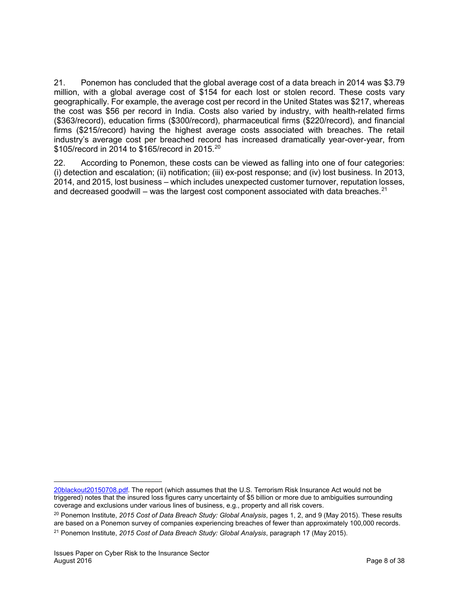21. Ponemon has concluded that the global average cost of a data breach in 2014 was \$3.79 million, with a global average cost of \$154 for each lost or stolen record. These costs vary geographically. For example, the average cost per record in the United States was \$217, whereas the cost was \$56 per record in India. Costs also varied by industry, with health-related firms (\$363/record), education firms (\$300/record), pharmaceutical firms (\$220/record), and financial firms (\$215/record) having the highest average costs associated with breaches. The retail industry's average cost per breached record has increased dramatically year-over-year, from \$105/record in [20](#page-7-0)14 to \$165/record in 2015.<sup>20</sup>

22. According to Ponemon, these costs can be viewed as falling into one of four categories: (i) detection and escalation; (ii) notification; (iii) ex-post response; and (iv) lost business. In 2013, 2014, and 2015, lost business – which includes unexpected customer turnover, reputation losses, and decreased goodwill – was the largest cost component associated with data breaches.<sup>[21](#page-7-1)</sup>

l

[<sup>20</sup>blackout20150708.pdf.](https://www.lloyds.com/%7E/media/files/news%20and%20insight/risk%20insight/2015/business%20blackout/business%20blackout20150708.pdf) The report (which assumes that the U.S. Terrorism Risk Insurance Act would not be triggered) notes that the insured loss figures carry uncertainty of \$5 billion or more due to ambiguities surrounding coverage and exclusions under various lines of business, e.g., property and all risk covers.

<span id="page-7-1"></span><span id="page-7-0"></span><sup>20</sup> Ponemon Institute, *2015 Cost of Data Breach Study: Global Analysis*, pages 1, 2, and 9 (May 2015). These results are based on a Ponemon survey of companies experiencing breaches of fewer than approximately 100,000 records. <sup>21</sup> Ponemon Institute, *2015 Cost of Data Breach Study: Global Analysis*, paragraph 17 (May 2015).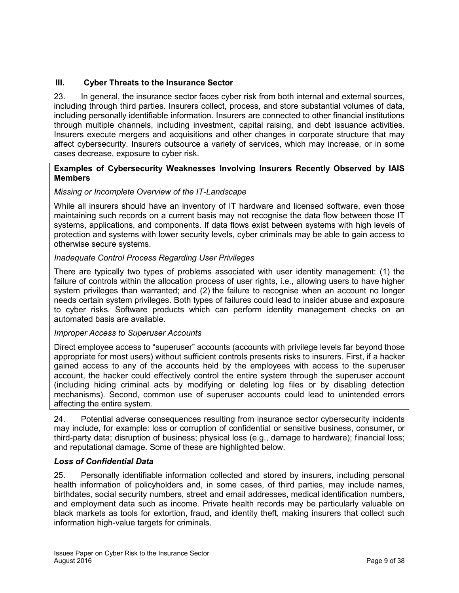## <span id="page-8-0"></span>**III. Cyber Threats to the Insurance Sector**

23. In general, the insurance sector faces cyber risk from both internal and external sources, including through third parties. Insurers collect, process, and store substantial volumes of data, including personally identifiable information. Insurers are connected to other financial institutions through multiple channels, including investment, capital raising, and debt issuance activities. Insurers execute mergers and acquisitions and other changes in corporate structure that may affect cybersecurity. Insurers outsource a variety of services, which may increase, or in some cases decrease, exposure to cyber risk.

#### **Examples of Cybersecurity Weaknesses Involving Insurers Recently Observed by IAIS Members**

## *Missing or Incomplete Overview of the IT-Landscape*

While all insurers should have an inventory of IT hardware and licensed software, even those maintaining such records on a current basis may not recognise the data flow between those IT systems, applications, and components. If data flows exist between systems with high levels of protection and systems with lower security levels, cyber criminals may be able to gain access to otherwise secure systems.

#### *Inadequate Control Process Regarding User Privileges*

There are typically two types of problems associated with user identity management: (1) the failure of controls within the allocation process of user rights, i.e., allowing users to have higher system privileges than warranted; and (2) the failure to recognise when an account no longer needs certain system privileges. Both types of failures could lead to insider abuse and exposure to cyber risks. Software products which can perform identity management checks on an automated basis are available.

#### *Improper Access to Superuser Accounts*

Direct employee access to "superuser" accounts (accounts with privilege levels far beyond those appropriate for most users) without sufficient controls presents risks to insurers. First, if a hacker gained access to any of the accounts held by the employees with access to the superuser account, the hacker could effectively control the entire system through the superuser account (including hiding criminal acts by modifying or deleting log files or by disabling detection mechanisms). Second, common use of superuser accounts could lead to unintended errors affecting the entire system.

24. Potential adverse consequences resulting from insurance sector cybersecurity incidents may include, for example: loss or corruption of confidential or sensitive business, consumer, or third-party data; disruption of business; physical loss (e.g., damage to hardware); financial loss; and reputational damage. Some of these are highlighted below.

## *Loss of Confidential Data*

25. Personally identifiable information collected and stored by insurers, including personal health information of policyholders and, in some cases, of third parties, may include names, birthdates, social security numbers, street and email addresses, medical identification numbers, and employment data such as income. Private health records may be particularly valuable on black markets as tools for extortion, fraud, and identity theft, making insurers that collect such information high-value targets for criminals.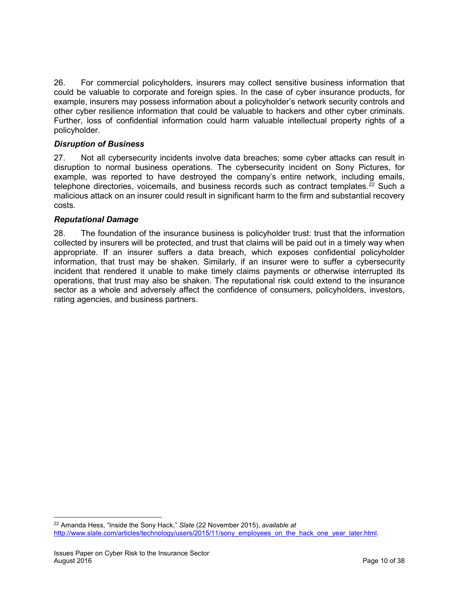26. For commercial policyholders, insurers may collect sensitive business information that could be valuable to corporate and foreign spies. In the case of cyber insurance products, for example, insurers may possess information about a policyholder's network security controls and other cyber resilience information that could be valuable to hackers and other cyber criminals. Further, loss of confidential information could harm valuable intellectual property rights of a policyholder.

## *Disruption of Business*

27. Not all cybersecurity incidents involve data breaches; some cyber attacks can result in disruption to normal business operations. The cybersecurity incident on Sony Pictures, for example, was reported to have destroyed the company's entire network, including emails, telephone directories, voicemails, and business records such as contract templates.<sup>[22](#page-9-0)</sup> Such a malicious attack on an insurer could result in significant harm to the firm and substantial recovery costs.

## *Reputational Damage*

28. The foundation of the insurance business is policyholder trust: trust that the information collected by insurers will be protected, and trust that claims will be paid out in a timely way when appropriate. If an insurer suffers a data breach, which exposes confidential policyholder information, that trust may be shaken. Similarly, if an insurer were to suffer a cybersecurity incident that rendered it unable to make timely claims payments or otherwise interrupted its operations, that trust may also be shaken. The reputational risk could extend to the insurance sector as a whole and adversely affect the confidence of consumers, policyholders, investors, rating agencies, and business partners.

<span id="page-9-0"></span><sup>22</sup> Amanda Hess, "Inside the Sony Hack," *Slate* (22 November 2015), *available at* [http://www.slate.com/articles/technology/users/2015/11/sony\\_employees\\_on\\_the\\_hack\\_one\\_year\\_later.html.](http://www.slate.com/articles/technology/users/2015/11/sony_employees_on_the_hack_one_year_later.html)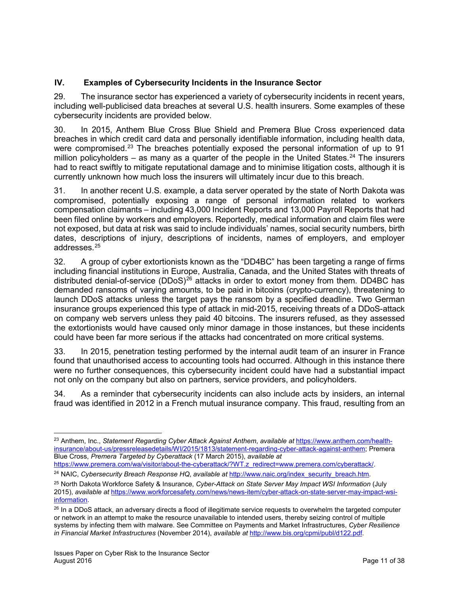## <span id="page-10-0"></span>**IV. Examples of Cybersecurity Incidents in the Insurance Sector**

29. The insurance sector has experienced a variety of cybersecurity incidents in recent years, including well-publicised data breaches at several U.S. health insurers. Some examples of these cybersecurity incidents are provided below.

30. In 2015, Anthem Blue Cross Blue Shield and Premera Blue Cross experienced data breaches in which credit card data and personally identifiable information, including health data, were compromised.<sup>[23](#page-10-1)</sup> The breaches potentially exposed the personal information of up to 91 million policyholders – as many as a quarter of the people in the United States.<sup>[24](#page-10-2)</sup> The insurers had to react swiftly to mitigate reputational damage and to minimise litigation costs, although it is currently unknown how much loss the insurers will ultimately incur due to this breach.

31. In another recent U.S. example, a data server operated by the state of North Dakota was compromised, potentially exposing a range of personal information related to workers compensation claimants – including 43,000 Incident Reports and 13,000 Payroll Reports that had been filed online by workers and employers. Reportedly, medical information and claim files were not exposed, but data at risk was said to include individuals' names, social security numbers, birth dates, descriptions of injury, descriptions of incidents, names of employers, and employer addresses.[25](#page-10-3)

32. A group of cyber extortionists known as the "DD4BC" has been targeting a range of firms including financial institutions in Europe, Australia, Canada, and the United States with threats of distributed denial-of-service (DDoS) $^{26}$  $^{26}$  $^{26}$  attacks in order to extort money from them. DD4BC has demanded ransoms of varying amounts, to be paid in bitcoins (crypto-currency), threatening to launch DDoS attacks unless the target pays the ransom by a specified deadline. Two German insurance groups experienced this type of attack in mid-2015, receiving threats of a DDoS-attack on company web servers unless they paid 40 bitcoins. The insurers refused, as they assessed the extortionists would have caused only minor damage in those instances, but these incidents could have been far more serious if the attacks had concentrated on more critical systems.

33. In 2015, penetration testing performed by the internal audit team of an insurer in France found that unauthorised access to accounting tools had occurred. Although in this instance there were no further consequences, this cybersecurity incident could have had a substantial impact not only on the company but also on partners, service providers, and policyholders.

34. As a reminder that cybersecurity incidents can also include acts by insiders, an internal fraud was identified in 2012 in a French mutual insurance company. This fraud, resulting from an

<span id="page-10-1"></span> $\overline{\phantom{a}}$ <sup>23</sup> Anthem, Inc., *Statement Regarding Cyber Attack Against Anthem*, *available at* [https://www.anthem.com/health](https://www.anthem.com/health-insurance/about-us/pressreleasedetails/WI/2015/1813/statement-regarding-cyber-attack-against-anthem)[insurance/about-us/pressreleasedetails/WI/2015/1813/statement-regarding-cyber-attack-against-anthem;](https://www.anthem.com/health-insurance/about-us/pressreleasedetails/WI/2015/1813/statement-regarding-cyber-attack-against-anthem) Premera Blue Cross, *Premera Targeted by Cyberattack* (17 March 2015), *available at* 

[https://www.premera.com/wa/visitor/about-the-cyberattack/?WT.z\\_redirect=www.premera.com/cyberattack/.](https://www.premera.com/wa/visitor/about-the-cyberattack/?WT.z_redirect=www.premera.com/cyberattack/)

<span id="page-10-2"></span><sup>&</sup>lt;sup>24</sup> NAIC, *Cybersecurity Breach Response HQ*, *available at* [http://www.naic.org/index\\_security\\_breach.htm.](http://www.naic.org/index_security_breach.htm)

<span id="page-10-3"></span><sup>25</sup> North Dakota Workforce Safety & Insurance, *Cyber-Attack on State Server May Impact WSI Information* (July 2015), *available at* [https://www.workforcesafety.com/news/news-item/cyber-attack-on-state-server-may-impact-wsi](https://www.workforcesafety.com/news/news-item/cyber-attack-on-state-server-may-impact-wsi-information)[information.](https://www.workforcesafety.com/news/news-item/cyber-attack-on-state-server-may-impact-wsi-information)

<span id="page-10-4"></span><sup>&</sup>lt;sup>26</sup> In a DDoS attack, an adversary directs a flood of illegitimate service requests to overwhelm the targeted computer or network in an attempt to make the resource unavailable to intended users, thereby seizing control of multiple systems by infecting them with malware. See Committee on Payments and Market Infrastructures, *Cyber Resilience in Financial Market Infrastructures* (November 2014), *available at* [http://www.bis.org/cpmi/publ/d122.pdf.](http://www.bis.org/cpmi/publ/d122.pdf)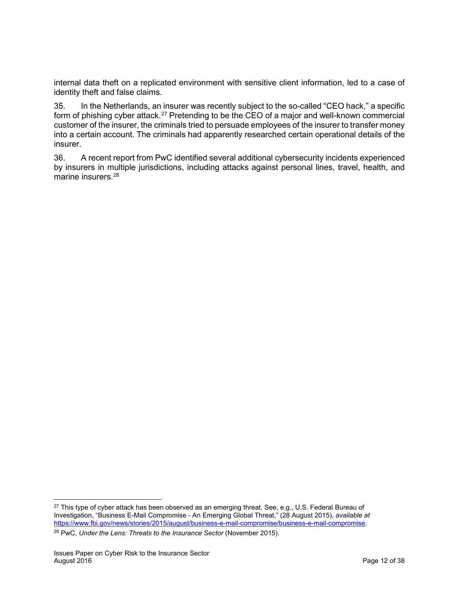internal data theft on a replicated environment with sensitive client information, led to a case of identity theft and false claims.

35. In the Netherlands, an insurer was recently subject to the so-called "CEO hack," a specific form of phishing cyber attack.<sup>[27](#page-11-0)</sup> Pretending to be the CEO of a major and well-known commercial customer of the insurer, the criminals tried to persuade employees of the insurer to transfer money into a certain account. The criminals had apparently researched certain operational details of the insurer.

36. A recent report from PwC identified several additional cybersecurity incidents experienced by insurers in multiple jurisdictions, including attacks against personal lines, travel, health, and marine insurers.<sup>[28](#page-11-1)</sup>

l

<span id="page-11-0"></span><sup>&</sup>lt;sup>27</sup> This type of cyber attack has been observed as an emerging threat. See, e.g., U.S. Federal Bureau of Investigation, "Business E-Mail Compromise - An Emerging Global Threat," (28 August 2015), *available at* [https://www.fbi.gov/news/stories/2015/august/business-e-mail-compromise/business-e-mail-compromise.](https://www.fbi.gov/news/stories/2015/august/business-e-mail-compromise/business-e-mail-compromise)

<span id="page-11-1"></span><sup>28</sup> PwC, *Under the Lens: Threats to the Insurance Sector* (November 2015).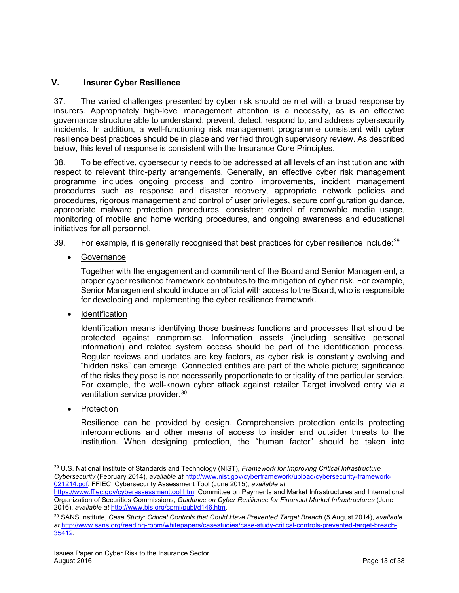## <span id="page-12-0"></span>**V. Insurer Cyber Resilience**

37. The varied challenges presented by cyber risk should be met with a broad response by insurers. Appropriately high-level management attention is a necessity, as is an effective governance structure able to understand, prevent, detect, respond to, and address cybersecurity incidents. In addition, a well-functioning risk management programme consistent with cyber resilience best practices should be in place and verified through supervisory review. As described below, this level of response is consistent with the Insurance Core Principles.

38. To be effective, cybersecurity needs to be addressed at all levels of an institution and with respect to relevant third-party arrangements. Generally, an effective cyber risk management programme includes ongoing process and control improvements, incident management procedures such as response and disaster recovery, appropriate network policies and procedures, rigorous management and control of user privileges, secure configuration guidance, appropriate malware protection procedures, consistent control of removable media usage, monitoring of mobile and home working procedures, and ongoing awareness and educational initiatives for all personnel.

39. For example, it is generally recognised that best practices for cyber resilience include:<sup>[29](#page-12-1)</sup>

• Governance

Together with the engagement and commitment of the Board and Senior Management, a proper cyber resilience framework contributes to the mitigation of cyber risk. For example, Senior Management should include an official with access to the Board, who is responsible for developing and implementing the cyber resilience framework.

**Identification** 

Identification means identifying those business functions and processes that should be protected against compromise. Information assets (including sensitive personal information) and related system access should be part of the identification process. Regular reviews and updates are key factors, as cyber risk is constantly evolving and "hidden risks" can emerge. Connected entities are part of the whole picture; significance of the risks they pose is not necessarily proportionate to criticality of the particular service. For example, the well-known cyber attack against retailer Target involved entry via a ventilation service provider.<sup>[30](#page-12-2)</sup>

**Protection** 

Resilience can be provided by design. Comprehensive protection entails protecting interconnections and other means of access to insider and outsider threats to the institution. When designing protection, the "human factor" should be taken into

<span id="page-12-1"></span> $\overline{\phantom{a}}$ <sup>29</sup> U.S. National Institute of Standards and Technology (NIST), *Framework for Improving Critical Infrastructure Cybersecurity* (February 2014), *available at* [http://www.nist.gov/cyberframework/upload/cybersecurity-framework-](http://www.nist.gov/cyberframework/upload/cybersecurity-framework-021214.pdf)[021214.pdf;](http://www.nist.gov/cyberframework/upload/cybersecurity-framework-021214.pdf) FFIEC, Cybersecurity Assessment Tool (June 2015), *available at*

[https://www.ffiec.gov/cyberassessmenttool.htm;](https://www.ffiec.gov/cyberassessmenttool.htm) Committee on Payments and Market Infrastructures and International Organization of Securities Commissions, *Guidance on Cyber Resilience for Financial Market Infrastructures* (June 2016), *available at* [http://www.bis.org/cpmi/publ/d146.htm.](http://www.bis.org/cpmi/publ/d146.htm)

<span id="page-12-2"></span><sup>30</sup> SANS Institute, *Case Study: Critical Controls that Could Have Prevented Target Breach* (5 August 2014), *available at* [http://www.sans.org/reading-room/whitepapers/casestudies/case-study-critical-controls-prevented-target-breach-](http://www.sans.org/reading-room/whitepapers/casestudies/case-study-critical-controls-prevented-target-breach-35412)[35412.](http://www.sans.org/reading-room/whitepapers/casestudies/case-study-critical-controls-prevented-target-breach-35412)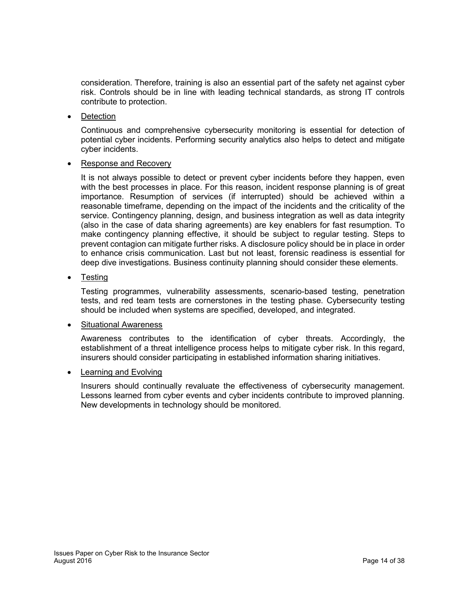consideration. Therefore, training is also an essential part of the safety net against cyber risk. Controls should be in line with leading technical standards, as strong IT controls contribute to protection.

• Detection

Continuous and comprehensive cybersecurity monitoring is essential for detection of potential cyber incidents. Performing security analytics also helps to detect and mitigate cyber incidents.

• Response and Recovery

It is not always possible to detect or prevent cyber incidents before they happen, even with the best processes in place. For this reason, incident response planning is of great importance. Resumption of services (if interrupted) should be achieved within a reasonable timeframe, depending on the impact of the incidents and the criticality of the service. Contingency planning, design, and business integration as well as data integrity (also in the case of data sharing agreements) are key enablers for fast resumption. To make contingency planning effective, it should be subject to regular testing. Steps to prevent contagion can mitigate further risks. A disclosure policy should be in place in order to enhance crisis communication. Last but not least, forensic readiness is essential for deep dive investigations. Business continuity planning should consider these elements.

• Testing

Testing programmes, vulnerability assessments, scenario-based testing, penetration tests, and red team tests are cornerstones in the testing phase. Cybersecurity testing should be included when systems are specified, developed, and integrated.

#### • Situational Awareness

Awareness contributes to the identification of cyber threats. Accordingly, the establishment of a threat intelligence process helps to mitigate cyber risk. In this regard, insurers should consider participating in established information sharing initiatives.

• Learning and Evolving

Insurers should continually revaluate the effectiveness of cybersecurity management. Lessons learned from cyber events and cyber incidents contribute to improved planning. New developments in technology should be monitored.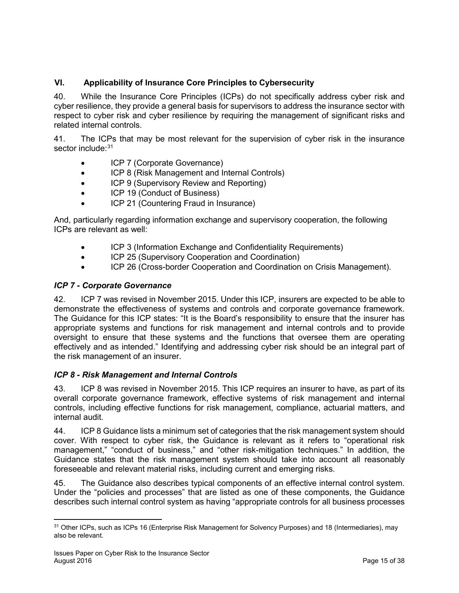## <span id="page-14-0"></span>**VI. Applicability of Insurance Core Principles to Cybersecurity**

40. While the Insurance Core Principles (ICPs) do not specifically address cyber risk and cyber resilience, they provide a general basis for supervisors to address the insurance sector with respect to cyber risk and cyber resilience by requiring the management of significant risks and related internal controls.

41. The ICPs that may be most relevant for the supervision of cyber risk in the insurance sector include: [31](#page-14-1)

- ICP 7 (Corporate Governance)
- ICP 8 (Risk Management and Internal Controls)
- ICP 9 (Supervisory Review and Reporting)
- ICP 19 (Conduct of Business)
- ICP 21 (Countering Fraud in Insurance)

And, particularly regarding information exchange and supervisory cooperation, the following ICPs are relevant as well:

- ICP 3 (Information Exchange and Confidentiality Requirements)
- ICP 25 (Supervisory Cooperation and Coordination)
- ICP 26 (Cross-border Cooperation and Coordination on Crisis Management).

## *ICP 7 - Corporate Governance*

42. ICP 7 was revised in November 2015. Under this ICP, insurers are expected to be able to demonstrate the effectiveness of systems and controls and corporate governance framework. The Guidance for this ICP states: "It is the Board's responsibility to ensure that the insurer has appropriate systems and functions for risk management and internal controls and to provide oversight to ensure that these systems and the functions that oversee them are operating effectively and as intended." Identifying and addressing cyber risk should be an integral part of the risk management of an insurer.

## *ICP 8 - Risk Management and Internal Controls*

43. ICP 8 was revised in November 2015. This ICP requires an insurer to have, as part of its overall corporate governance framework, effective systems of risk management and internal controls, including effective functions for risk management, compliance, actuarial matters, and internal audit.

44. ICP 8 Guidance lists a minimum set of categories that the risk management system should cover. With respect to cyber risk, the Guidance is relevant as it refers to "operational risk management," "conduct of business," and "other risk-mitigation techniques." In addition, the Guidance states that the risk management system should take into account all reasonably foreseeable and relevant material risks, including current and emerging risks.

45. The Guidance also describes typical components of an effective internal control system. Under the "policies and processes" that are listed as one of these components, the Guidance describes such internal control system as having "appropriate controls for all business processes

<span id="page-14-1"></span><sup>31</sup> Other ICPs, such as ICPs 16 (Enterprise Risk Management for Solvency Purposes) and 18 (Intermediaries), may also be relevant.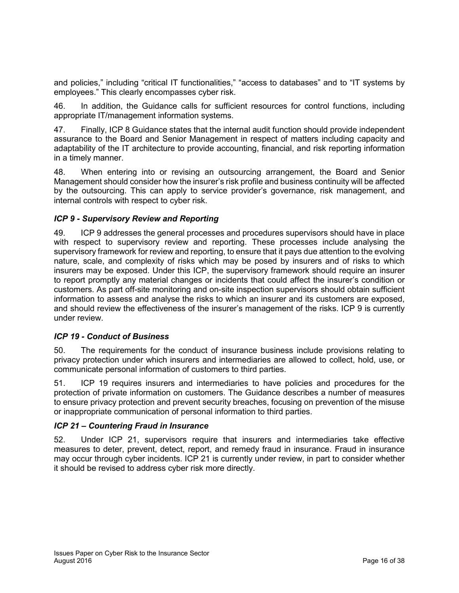and policies," including "critical IT functionalities," "access to databases" and to "IT systems by employees." This clearly encompasses cyber risk.

46. In addition, the Guidance calls for sufficient resources for control functions, including appropriate IT/management information systems.

47. Finally, ICP 8 Guidance states that the internal audit function should provide independent assurance to the Board and Senior Management in respect of matters including capacity and adaptability of the IT architecture to provide accounting, financial, and risk reporting information in a timely manner.

48. When entering into or revising an outsourcing arrangement, the Board and Senior Management should consider how the insurer's risk profile and business continuity will be affected by the outsourcing. This can apply to service provider's governance, risk management, and internal controls with respect to cyber risk.

## *ICP 9 - Supervisory Review and Reporting*

49. ICP 9 addresses the general processes and procedures supervisors should have in place with respect to supervisory review and reporting. These processes include analysing the supervisory framework for review and reporting, to ensure that it pays due attention to the evolving nature, scale, and complexity of risks which may be posed by insurers and of risks to which insurers may be exposed. Under this ICP, the supervisory framework should require an insurer to report promptly any material changes or incidents that could affect the insurer's condition or customers. As part off-site monitoring and on-site inspection supervisors should obtain sufficient information to assess and analyse the risks to which an insurer and its customers are exposed, and should review the effectiveness of the insurer's management of the risks. ICP 9 is currently under review.

## *ICP 19 - Conduct of Business*

50. The requirements for the conduct of insurance business include provisions relating to privacy protection under which insurers and intermediaries are allowed to collect, hold, use, or communicate personal information of customers to third parties.

51. ICP 19 requires insurers and intermediaries to have policies and procedures for the protection of private information on customers. The Guidance describes a number of measures to ensure privacy protection and prevent security breaches, focusing on prevention of the misuse or inappropriate communication of personal information to third parties.

## *ICP 21 – Countering Fraud in Insurance*

52. Under ICP 21, supervisors require that insurers and intermediaries take effective measures to deter, prevent, detect, report, and remedy fraud in insurance. Fraud in insurance may occur through cyber incidents. ICP 21 is currently under review, in part to consider whether it should be revised to address cyber risk more directly.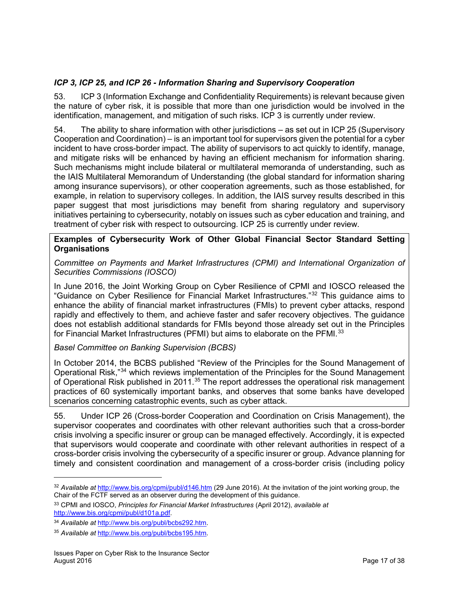## *ICP 3, ICP 25, and ICP 26 - Information Sharing and Supervisory Cooperation*

53. ICP 3 (Information Exchange and Confidentiality Requirements) is relevant because given the nature of cyber risk, it is possible that more than one jurisdiction would be involved in the identification, management, and mitigation of such risks. ICP 3 is currently under review.

54. The ability to share information with other jurisdictions – as set out in ICP 25 (Supervisory Cooperation and Coordination) – is an important tool for supervisors given the potential for a cyber incident to have cross-border impact. The ability of supervisors to act quickly to identify, manage, and mitigate risks will be enhanced by having an efficient mechanism for information sharing. Such mechanisms might include bilateral or multilateral memoranda of understanding, such as the IAIS Multilateral Memorandum of Understanding (the global standard for information sharing among insurance supervisors), or other cooperation agreements, such as those established, for example, in relation to supervisory colleges. In addition, the IAIS survey results described in this paper suggest that most jurisdictions may benefit from sharing regulatory and supervisory initiatives pertaining to cybersecurity, notably on issues such as cyber education and training, and treatment of cyber risk with respect to outsourcing. ICP 25 is currently under review.

## **Examples of Cybersecurity Work of Other Global Financial Sector Standard Setting Organisations**

*Committee on Payments and Market Infrastructures (CPMI) and International Organization of Securities Commissions (IOSCO)*

In June 2016, the Joint Working Group on Cyber Resilience of CPMI and IOSCO released the "Guidance on Cyber Resilience for Financial Market Infrastructures."[32](#page-16-0) This guidance aims to enhance the ability of financial market infrastructures (FMIs) to prevent cyber attacks, respond rapidly and effectively to them, and achieve faster and safer recovery objectives. The guidance does not establish additional standards for FMIs beyond those already set out in the Principles for Financial Market Infrastructures (PFMI) but aims to elaborate on the PFMI.<sup>[33](#page-16-1)</sup>

## *Basel Committee on Banking Supervision (BCBS)*

In October 2014, the BCBS published "Review of the Principles for the Sound Management of Operational Risk,"[34](#page-16-2) which reviews implementation of the Principles for the Sound Management of Operational Risk published in 2011.<sup>[35](#page-16-3)</sup> The report addresses the operational risk management practices of 60 systemically important banks, and observes that some banks have developed scenarios concerning catastrophic events, such as cyber attack.

55. Under ICP 26 (Cross-border Cooperation and Coordination on Crisis Management), the supervisor cooperates and coordinates with other relevant authorities such that a cross-border crisis involving a specific insurer or group can be managed effectively. Accordingly, it is expected that supervisors would cooperate and coordinate with other relevant authorities in respect of a cross-border crisis involving the cybersecurity of a specific insurer or group. Advance planning for timely and consistent coordination and management of a cross-border crisis (including policy

l

<span id="page-16-0"></span><sup>32</sup> *Available at* <http://www.bis.org/cpmi/publ/d146.htm> (29 June 2016). At the invitation of the joint working group, the Chair of the FCTF served as an observer during the development of this guidance.

<span id="page-16-1"></span><sup>33</sup> CPMI and IOSCO, *Principles for Financial Market Infrastructures* (April 2012), *available at* [http://www.bis.org/cpmi/publ/d101a.pdf.](http://www.bis.org/cpmi/publ/d101a.pdf)

<span id="page-16-2"></span><sup>34</sup> *Available at* [http://www.bis.org/publ/bcbs292.htm.](http://www.bis.org/publ/bcbs292.htm) 

<span id="page-16-3"></span><sup>35</sup> *Available at* [http://www.bis.org/publ/bcbs195.htm.](http://www.bis.org/publ/bcbs195.htm)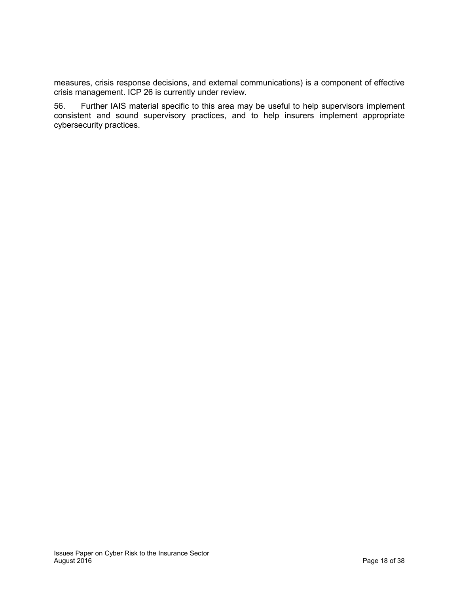measures, crisis response decisions, and external communications) is a component of effective crisis management. ICP 26 is currently under review.

56. Further IAIS material specific to this area may be useful to help supervisors implement consistent and sound supervisory practices, and to help insurers implement appropriate cybersecurity practices.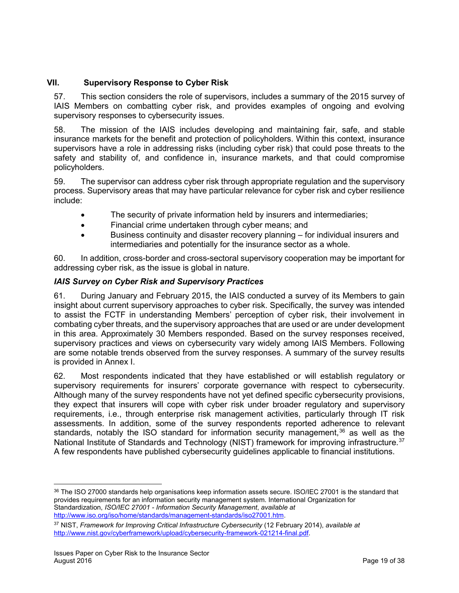## <span id="page-18-0"></span>**VII. Supervisory Response to Cyber Risk**

57. This section considers the role of supervisors, includes a summary of the 2015 survey of IAIS Members on combatting cyber risk, and provides examples of ongoing and evolving supervisory responses to cybersecurity issues.

58. The mission of the IAIS includes developing and maintaining fair, safe, and stable insurance markets for the benefit and protection of policyholders. Within this context, insurance supervisors have a role in addressing risks (including cyber risk) that could pose threats to the safety and stability of, and confidence in, insurance markets, and that could compromise policyholders.

59. The supervisor can address cyber risk through appropriate regulation and the supervisory process. Supervisory areas that may have particular relevance for cyber risk and cyber resilience include:

- The security of private information held by insurers and intermediaries;
- Financial crime undertaken through cyber means; and
- Business continuity and disaster recovery planning for individual insurers and intermediaries and potentially for the insurance sector as a whole.

60. In addition, cross-border and cross-sectoral supervisory cooperation may be important for addressing cyber risk, as the issue is global in nature.

## *IAIS Survey on Cyber Risk and Supervisory Practices*

61. During January and February 2015, the IAIS conducted a survey of its Members to gain insight about current supervisory approaches to cyber risk. Specifically, the survey was intended to assist the FCTF in understanding Members' perception of cyber risk, their involvement in combating cyber threats, and the supervisory approaches that are used or are under development in this area. Approximately 30 Members responded. Based on the survey responses received, supervisory practices and views on cybersecurity vary widely among IAIS Members. Following are some notable trends observed from the survey responses. A summary of the survey results is provided in Annex I.

62. Most respondents indicated that they have established or will establish regulatory or supervisory requirements for insurers' corporate governance with respect to cybersecurity. Although many of the survey respondents have not yet defined specific cybersecurity provisions, they expect that insurers will cope with cyber risk under broader regulatory and supervisory requirements, i.e., through enterprise risk management activities, particularly through IT risk assessments. In addition, some of the survey respondents reported adherence to relevant standards, notably the ISO standard for information security management,  $36$  as well as the National Institute of Standards and Technology (NIST) framework for improving infrastructure.<sup>[37](#page-18-2)</sup> A few respondents have published cybersecurity guidelines applicable to financial institutions.

l

<span id="page-18-1"></span><sup>36</sup> The ISO 27000 standards help organisations keep information assets secure. ISO/IEC 27001 is the standard that provides requirements for an information security management system. International Organization for Standardization, *ISO/IEC 27001 - Information Security Management*, *available at* [http://www.iso.org/iso/home/standards/management-standards/iso27001.htm.](http://www.iso.org/iso/home/standards/management-standards/iso27001.htm)

<span id="page-18-2"></span><sup>37</sup> NIST, *Framework for Improving Critical Infrastructure Cybersecurity* (12 February 2014), *available at* [http://www.nist.gov/cyberframework/upload/cybersecurity-framework-021214-final.pdf.](http://www.nist.gov/cyberframework/upload/cybersecurity-framework-021214-final.pdf)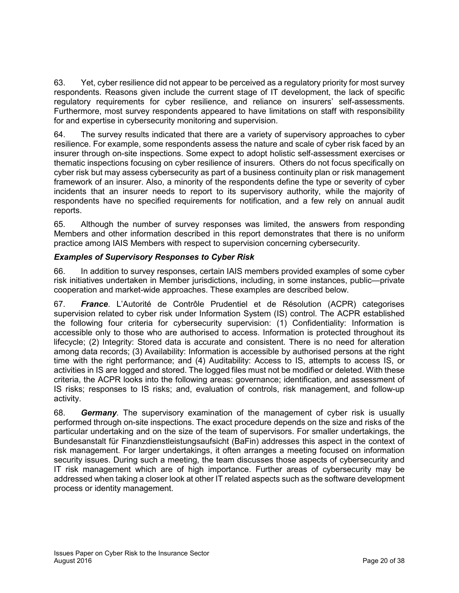63. Yet, cyber resilience did not appear to be perceived as a regulatory priority for most survey respondents. Reasons given include the current stage of IT development, the lack of specific regulatory requirements for cyber resilience, and reliance on insurers' self-assessments. Furthermore, most survey respondents appeared to have limitations on staff with responsibility for and expertise in cybersecurity monitoring and supervision.

64. The survey results indicated that there are a variety of supervisory approaches to cyber resilience. For example, some respondents assess the nature and scale of cyber risk faced by an insurer through on-site inspections. Some expect to adopt holistic self-assessment exercises or thematic inspections focusing on cyber resilience of insurers. Others do not focus specifically on cyber risk but may assess cybersecurity as part of a business continuity plan or risk management framework of an insurer. Also, a minority of the respondents define the type or severity of cyber incidents that an insurer needs to report to its supervisory authority, while the majority of respondents have no specified requirements for notification, and a few rely on annual audit reports.

65. Although the number of survey responses was limited, the answers from responding Members and other information described in this report demonstrates that there is no uniform practice among IAIS Members with respect to supervision concerning cybersecurity.

## *Examples of Supervisory Responses to Cyber Risk*

66. In addition to survey responses, certain IAIS members provided examples of some cyber risk initiatives undertaken in Member jurisdictions, including, in some instances, public—private cooperation and market-wide approaches. These examples are described below.

67. *France*. L'Autorité de Contrôle Prudentiel et de Résolution (ACPR) categorises supervision related to cyber risk under Information System (IS) control. The ACPR established the following four criteria for cybersecurity supervision: (1) Confidentiality: Information is accessible only to those who are authorised to access. Information is protected throughout its lifecycle; (2) Integrity: Stored data is accurate and consistent. There is no need for alteration among data records; (3) Availability: Information is accessible by authorised persons at the right time with the right performance; and (4) Auditability: Access to IS, attempts to access IS, or activities in IS are logged and stored. The logged files must not be modified or deleted. With these criteria, the ACPR looks into the following areas: governance; identification, and assessment of IS risks; responses to IS risks; and, evaluation of controls, risk management, and follow-up activity.

68. *Germany.* The supervisory examination of the management of cyber risk is usually performed through on-site inspections. The exact procedure depends on the size and risks of the particular undertaking and on the size of the team of supervisors. For smaller undertakings, the Bundesanstalt für Finanzdienstleistungsaufsicht (BaFin) addresses this aspect in the context of risk management. For larger undertakings, it often arranges a meeting focused on information security issues. During such a meeting, the team discusses those aspects of cybersecurity and IT risk management which are of high importance. Further areas of cybersecurity may be addressed when taking a closer look at other IT related aspects such as the software development process or identity management.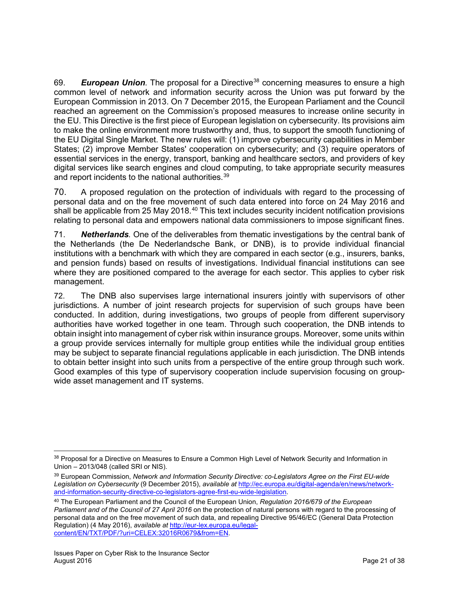69. *European Union.* The proposal for a Directive[38](#page-20-0) concerning measures to ensure a high common level of network and information security across the Union was put forward by the European Commission in 2013. On 7 December 2015, the European Parliament and the Council reached an agreement on the Commission's proposed measures to increase online security in the EU. This Directive is the first piece of European legislation on cybersecurity. Its provisions aim to make the online environment more trustworthy and, thus, to support the smooth functioning of the EU Digital Single Market. The new rules will: (1) improve cybersecurity capabilities in Member States; (2) improve Member States' cooperation on cybersecurity; and (3) require operators of essential services in the energy, transport, banking and healthcare sectors, and providers of key digital services like search engines and cloud computing, to take appropriate security measures and report incidents to the national authorities.<sup>[39](#page-20-1)</sup>

70. A proposed regulation on the protection of individuals with regard to the processing of personal data and on the free movement of such data entered into force on 24 May 2016 and shall be applicable from 25 May 2018. $40$  This text includes security incident notification provisions relating to personal data and empowers national data commissioners to impose significant fines.

71. *Netherlands.* One of the deliverables from thematic investigations by the central bank of the Netherlands (the De Nederlandsche Bank, or DNB), is to provide individual financial institutions with a benchmark with which they are compared in each sector (e.g., insurers, banks, and pension funds) based on results of investigations. Individual financial institutions can see where they are positioned compared to the average for each sector. This applies to cyber risk management.

72. The DNB also supervises large international insurers jointly with supervisors of other jurisdictions. A number of joint research projects for supervision of such groups have been conducted. In addition, during investigations, two groups of people from different supervisory authorities have worked together in one team. Through such cooperation, the DNB intends to obtain insight into management of cyber risk within insurance groups. Moreover, some units within a group provide services internally for multiple group entities while the individual group entities may be subject to separate financial regulations applicable in each jurisdiction. The DNB intends to obtain better insight into such units from a perspective of the entire group through such work. Good examples of this type of supervisory cooperation include supervision focusing on groupwide asset management and IT systems.

<span id="page-20-0"></span> $\overline{\phantom{a}}$ 38 Proposal for a Directive on Measures to Ensure a Common High Level of Network Security and Information in Union – 2013/048 (called SRI or NIS).

<span id="page-20-1"></span><sup>39</sup> European Commission, *Network and Information Security Directive: co-Legislators Agree on the First EU-wide Legislation on Cybersecurity* (9 December 2015), *available at* [http://ec.europa.eu/digital-agenda/en/news/network](http://ec.europa.eu/digital-agenda/en/news/network-and-information-security-directive-co-legislators-agree-first-eu-wide-legislation)[and-information-security-directive-co-legislators-agree-first-eu-wide-legislation.](http://ec.europa.eu/digital-agenda/en/news/network-and-information-security-directive-co-legislators-agree-first-eu-wide-legislation)

<span id="page-20-2"></span><sup>40</sup> The European Parliament and the Council of the European Union, *Regulation 2016/679 of the European Parliament and of the Council of 27 April 2016* on the protection of natural persons with regard to the processing of personal data and on the free movement of such data, and repealing Directive 95/46/EC (General Data Protection Regulation) (4 May 2016), *available at* [http://eur-lex.europa.eu/legal](http://eur-lex.europa.eu/legal-content/EN/TXT/PDF/?uri=CELEX:32016R0679&from=EN)[content/EN/TXT/PDF/?uri=CELEX:32016R0679&from=EN.](http://eur-lex.europa.eu/legal-content/EN/TXT/PDF/?uri=CELEX:32016R0679&from=EN)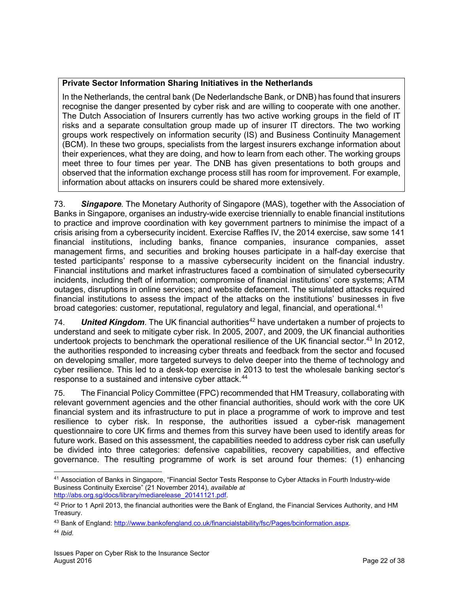## **Private Sector Information Sharing Initiatives in the Netherlands**

In the Netherlands, the central bank (De Nederlandsche Bank, or DNB) has found that insurers recognise the danger presented by cyber risk and are willing to cooperate with one another. The Dutch Association of Insurers currently has two active working groups in the field of IT risks and a separate consultation group made up of insurer IT directors. The two working groups work respectively on information security (IS) and Business Continuity Management (BCM). In these two groups, specialists from the largest insurers exchange information about their experiences, what they are doing, and how to learn from each other. The working groups meet three to four times per year. The DNB has given presentations to both groups and observed that the information exchange process still has room for improvement. For example, information about attacks on insurers could be shared more extensively.

73. *Singapore.* The Monetary Authority of Singapore (MAS), together with the Association of Banks in Singapore, organises an industry-wide exercise triennially to enable financial institutions to practice and improve coordination with key government partners to minimise the impact of a crisis arising from a cybersecurity incident. Exercise Raffles IV, the 2014 exercise, saw some 141 financial institutions, including banks, finance companies, insurance companies, asset management firms, and securities and broking houses participate in a half-day exercise that tested participants' response to a massive cybersecurity incident on the financial industry. Financial institutions and market infrastructures faced a combination of simulated cybersecurity incidents, including theft of information; compromise of financial institutions' core systems; ATM outages, disruptions in online services; and website defacement. The simulated attacks required financial institutions to assess the impact of the attacks on the institutions' businesses in five broad categories: customer, reputational, regulatory and legal, financial, and operational.<sup>[41](#page-21-0)</sup>

74. *United Kingdom.* The UK financial authorities<sup>[42](#page-21-1)</sup> have undertaken a number of projects to understand and seek to mitigate cyber risk. In 2005, 2007, and 2009, the UK financial authorities undertook projects to benchmark the operational resilience of the UK financial sector.<sup>[43](#page-21-2)</sup> In 2012, the authorities responded to increasing cyber threats and feedback from the sector and focused on developing smaller, more targeted surveys to delve deeper into the theme of technology and cyber resilience. This led to a desk-top exercise in 2013 to test the wholesale banking sector's response to a sustained and intensive cyber attack.<sup>[44](#page-21-3)</sup>

75. The Financial Policy Committee (FPC) recommended that HM Treasury, collaborating with relevant government agencies and the other financial authorities, should work with the core UK financial system and its infrastructure to put in place a programme of work to improve and test resilience to cyber risk. In response, the authorities issued a cyber-risk management questionnaire to core UK firms and themes from this survey have been used to identify areas for future work. Based on this assessment, the capabilities needed to address cyber risk can usefully be divided into three categories: defensive capabilities, recovery capabilities, and effective governance. The resulting programme of work is set around four themes: (1) enhancing

<span id="page-21-0"></span><sup>41</sup> Association of Banks in Singapore, "Financial Sector Tests Response to Cyber Attacks in Fourth Industry-wide Business Continuity Exercise" (21 November 2014), *available at* [http://abs.org.sg/docs/library/mediarelease\\_20141121.pdf.](http://abs.org.sg/docs/library/mediarelease_20141121.pdf)

<span id="page-21-1"></span><sup>42</sup> Prior to 1 April 2013, the financial authorities were the Bank of England, the Financial Services Authority, and HM Treasury.

<span id="page-21-2"></span><sup>43</sup> Bank of England: [http://www.bankofengland.co.uk/financialstability/fsc/Pages/bcinformation.aspx.](http://www.bankofengland.co.uk/financialstability/fsc/Pages/bcinformation.aspx)

<span id="page-21-3"></span><sup>44</sup> *Ibid.*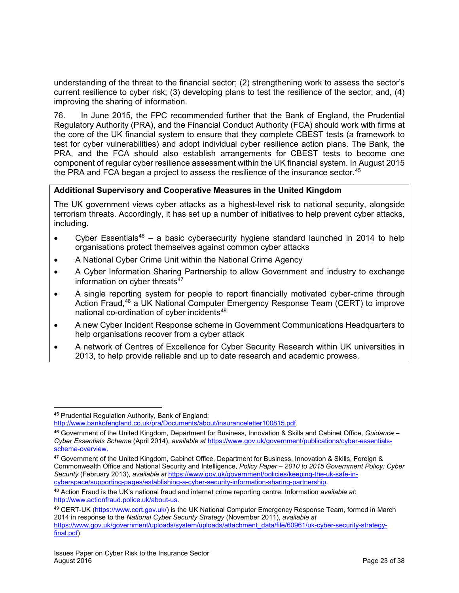understanding of the threat to the financial sector; (2) strengthening work to assess the sector's current resilience to cyber risk; (3) developing plans to test the resilience of the sector; and, (4) improving the sharing of information.

76. In June 2015, the FPC recommended further that the Bank of England, the Prudential Regulatory Authority (PRA), and the Financial Conduct Authority (FCA) should work with firms at the core of the UK financial system to ensure that they complete CBEST tests (a framework to test for cyber vulnerabilities) and adopt individual cyber resilience action plans. The Bank, the PRA, and the FCA should also establish arrangements for CBEST tests to become one component of regular cyber resilience assessment within the UK financial system. In August 2015 the PRA and FCA began a project to assess the resilience of the insurance sector.<sup>[45](#page-22-0)</sup>

## **Additional Supervisory and Cooperative Measures in the United Kingdom**

The UK government views cyber attacks as a highest-level risk to national security, alongside terrorism threats. Accordingly, it has set up a number of initiatives to help prevent cyber attacks, including.

- Cyber Essentials<sup>[46](#page-22-1)</sup> a basic cybersecurity hygiene standard launched in 2014 to help organisations protect themselves against common cyber attacks
- A National Cyber Crime Unit within the National Crime Agency
- A Cyber Information Sharing Partnership to allow Government and industry to exchange information on cyber threats<sup>[47](#page-22-2)</sup>
- A single reporting system for people to report financially motivated cyber-crime through Action Fraud,[48](#page-22-3) a UK National Computer Emergency Response Team (CERT) to improve national co-ordination of cyber incidents<sup>[49](#page-22-4)</sup>
- A new Cyber Incident Response scheme in Government Communications Headquarters to help organisations recover from a cyber attack
- A network of Centres of Excellence for Cyber Security Research within UK universities in 2013, to help provide reliable and up to date research and academic prowess.

<span id="page-22-0"></span><sup>45</sup> Prudential Regulation Authority, Bank of England:

[http://www.bankofengland.co.uk/pra/Documents/about/insuranceletter100815.pdf.](http://www.bankofengland.co.uk/pra/Documents/about/insuranceletter100815.pdf)

<span id="page-22-1"></span><sup>46</sup> Government of the United Kingdom, Department for Business, Innovation & Skills and Cabinet Office, *Guidance – Cyber Essentials Scheme* (April 2014), *available at* [https://www.gov.uk/government/publications/cyber-essentials](https://www.gov.uk/government/publications/cyber-essentials-scheme-overview)[scheme-overview.](https://www.gov.uk/government/publications/cyber-essentials-scheme-overview)

<span id="page-22-2"></span><sup>47</sup> Government of the United Kingdom, Cabinet Office, Department for Business, Innovation & Skills, Foreign & Commonwealth Office and National Security and Intelligence, *Policy Paper – 2010 to 2015 Government Policy: Cyber Security* (February 2013), *available at* [https://www.gov.uk/government/policies/keeping-the-uk-safe-in](https://www.gov.uk/government/policies/keeping-the-uk-safe-in-cyberspace/supporting-pages/establishing-a-cyber-security-information-sharing-partnership)[cyberspace/supporting-pages/establishing-a-cyber-security-information-sharing-partnership.](https://www.gov.uk/government/policies/keeping-the-uk-safe-in-cyberspace/supporting-pages/establishing-a-cyber-security-information-sharing-partnership)

<span id="page-22-3"></span><sup>48</sup> Action Fraud is the UK's national fraud and internet crime reporting centre. Information *available at*: [http://www.actionfraud.police.uk/about-us.](http://www.actionfraud.police.uk/about-us)

<span id="page-22-4"></span><sup>49</sup> CERT-UK [\(https://www.cert.gov.uk/\)](https://www.cert.gov.uk/) is the UK National Computer Emergency Response Team, formed in March 2014 in response to the *National Cyber Security Strategy* (November 2011), *available at* [https://www.gov.uk/government/uploads/system/uploads/attachment\\_data/file/60961/uk-cyber-security-strategy](https://www.gov.uk/government/uploads/system/uploads/attachment_data/file/60961/uk-cyber-security-strategy-final.pdf)[final.pdf\)](https://www.gov.uk/government/uploads/system/uploads/attachment_data/file/60961/uk-cyber-security-strategy-final.pdf).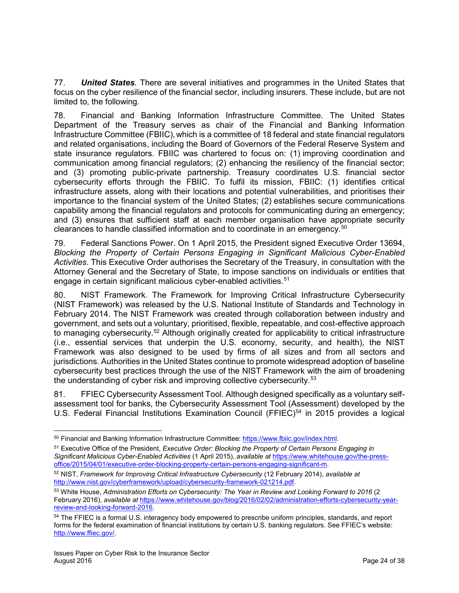77. *United States.* There are several initiatives and programmes in the United States that focus on the cyber resilience of the financial sector, including insurers. These include, but are not limited to, the following.

78. Financial and Banking Information Infrastructure Committee. The United States Department of the Treasury serves as chair of the Financial and Banking Information Infrastructure Committee (FBIIC), which is a committee of 18 federal and state financial regulators and related organisations, including the Board of Governors of the Federal Reserve System and state insurance regulators. FBIIC was chartered to focus on: (1) improving coordination and communication among financial regulators; (2) enhancing the resiliency of the financial sector; and (3) promoting public-private partnership. Treasury coordinates U.S. financial sector cybersecurity efforts through the FBIIC. To fulfil its mission, FBIIC: (1) identifies critical infrastructure assets, along with their locations and potential vulnerabilities, and prioritises their importance to the financial system of the United States; (2) establishes secure communications capability among the financial regulators and protocols for communicating during an emergency; and (3) ensures that sufficient staff at each member organisation have appropriate security clearances to handle classified information and to coordinate in an emergency.[50](#page-23-0)

79. Federal Sanctions Power. On 1 April 2015, the President signed Executive Order 13694, *Blocking the Property of Certain Persons Engaging in Significant Malicious Cyber-Enabled Activities*. This Executive Order authorises the Secretary of the Treasury, in consultation with the Attorney General and the Secretary of State, to impose sanctions on individuals or entities that engage in certain significant malicious cyber-enabled activities.<sup>[51](#page-23-1)</sup>

80. NIST Framework. The Framework for Improving Critical Infrastructure Cybersecurity (NIST Framework) was released by the U.S. National Institute of Standards and Technology in February 2014. The NIST Framework was created through collaboration between industry and government, and sets out a voluntary, prioritised, flexible, repeatable, and cost-effective approach to managing cybersecurity.<sup>[52](#page-23-2)</sup> Although originally created for applicability to critical infrastructure (i.e., essential services that underpin the U.S. economy, security, and health), the NIST Framework was also designed to be used by firms of all sizes and from all sectors and jurisdictions. Authorities in the United States continue to promote widespread adoption of baseline cybersecurity best practices through the use of the NIST Framework with the aim of broadening the understanding of cyber risk and improving collective cybersecurity.<sup>[53](#page-23-3)</sup>

81. FFIEC Cybersecurity Assessment Tool. Although designed specifically as a voluntary selfassessment tool for banks, the Cybersecurity Assessment Tool (Assessment) developed by the U.S. Federal Financial Institutions Examination Council ( $FFIEC$ )<sup>[54](#page-23-4)</sup> in 2015 provides a logical

<span id="page-23-0"></span><sup>50</sup> Financial and Banking Information Infrastructure Committee: [https://www.fbiic.gov/index.html.](https://www.fbiic.gov/index.html)

<span id="page-23-1"></span><sup>51</sup> Executive Office of the President, *Executive Order: Blocking the Property of Certain Persons Engaging in Significant Malicious Cyber-Enabled Activities* (1 April 2015), *available at* [https://www.whitehouse.gov/the-press](https://www.whitehouse.gov/the-press-office/2015/04/01/executive-order-blocking-property-certain-persons-engaging-significant-m)[office/2015/04/01/executive-order-blocking-property-certain-persons-engaging-significant-m.](https://www.whitehouse.gov/the-press-office/2015/04/01/executive-order-blocking-property-certain-persons-engaging-significant-m)

<span id="page-23-2"></span><sup>52</sup> NIST, *Framework for Improving Critical Infrastructure Cybersecurity* (12 February 2014), *available at* [http://www.nist.gov/cyberframework/upload/cybersecurity-framework-021214.pdf.](http://www.nist.gov/cyberframework/upload/cybersecurity-framework-021214.pdf)

<span id="page-23-3"></span><sup>53</sup> White House, *Administration Efforts on Cybersecurity: The Year in Review and Looking Forward to 2016* (2 February 2016), *available at* [https://www.whitehouse.gov/blog/2016/02/02/administration-efforts-cybersecurity-year](https://www.whitehouse.gov/blog/2016/02/02/administration-efforts-cybersecurity-year-review-and-looking-forward-2016)[review-and-looking-forward-2016.](https://www.whitehouse.gov/blog/2016/02/02/administration-efforts-cybersecurity-year-review-and-looking-forward-2016)

<span id="page-23-4"></span><sup>54</sup> The FFIEC is a formal U.S. interagency body empowered to prescribe uniform principles, standards, and report forms for the federal examination of financial institutions by certain U.S. banking regulators. See FFIEC's website: [http://www.ffiec.gov/.](http://www.ffiec.gov/)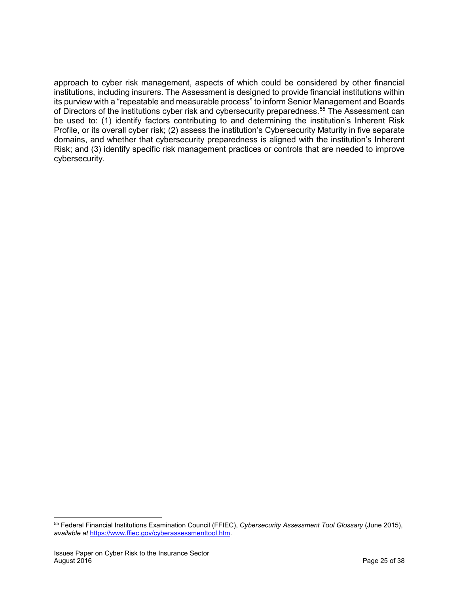approach to cyber risk management, aspects of which could be considered by other financial institutions, including insurers. The Assessment is designed to provide financial institutions within its purview with a "repeatable and measurable process" to inform Senior Management and Boards of Directors of the institutions cyber risk and cybersecurity preparedness.<sup>[55](#page-24-0)</sup> The Assessment can be used to: (1) identify factors contributing to and determining the institution's Inherent Risk Profile, or its overall cyber risk; (2) assess the institution's Cybersecurity Maturity in five separate domains, and whether that cybersecurity preparedness is aligned with the institution's Inherent Risk; and (3) identify specific risk management practices or controls that are needed to improve cybersecurity.

<span id="page-24-0"></span><sup>55</sup> Federal Financial Institutions Examination Council (FFIEC), *Cybersecurity Assessment Tool Glossary* (June 2015), *available at* [https://www.ffiec.gov/cyberassessmenttool.htm.](https://www.ffiec.gov/cyberassessmenttool.htm)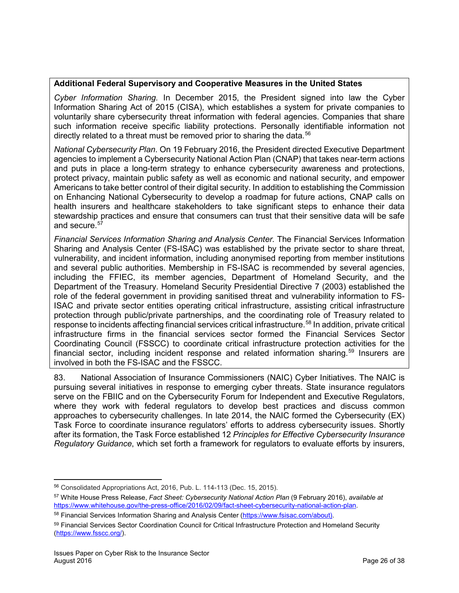## **Additional Federal Supervisory and Cooperative Measures in the United States**

*Cyber Information Sharing.* In December 2015, the President signed into law the Cyber Information Sharing Act of 2015 (CISA), which establishes a system for private companies to voluntarily share cybersecurity threat information with federal agencies. Companies that share such information receive specific liability protections. Personally identifiable information not directly related to a threat must be removed prior to sharing the data.<sup>[56](#page-25-0)</sup>

*National Cybersecurity Plan*. On 19 February 2016, the President directed Executive Department agencies to implement a Cybersecurity National Action Plan (CNAP) that takes near-term actions and puts in place a long-term strategy to enhance cybersecurity awareness and protections, protect privacy, maintain public safety as well as economic and national security, and empower Americans to take better control of their digital security. In addition to establishing the Commission on Enhancing National Cybersecurity to develop a roadmap for future actions, CNAP calls on health insurers and healthcare stakeholders to take significant steps to enhance their data stewardship practices and ensure that consumers can trust that their sensitive data will be safe and secure.<sup>[57](#page-25-1)</sup>

*Financial Services Information Sharing and Analysis Center.* The Financial Services Information Sharing and Analysis Center (FS-ISAC) was established by the private sector to share threat, vulnerability, and incident information, including anonymised reporting from member institutions and several public authorities. Membership in FS-ISAC is recommended by several agencies, including the FFIEC, its member agencies, Department of Homeland Security, and the Department of the Treasury. Homeland Security Presidential Directive 7 (2003) established the role of the federal government in providing sanitised threat and vulnerability information to FS-ISAC and private sector entities operating critical infrastructure, assisting critical infrastructure protection through public/private partnerships, and the coordinating role of Treasury related to response to incidents affecting financial services critical infrastructure.<sup>[58](#page-25-2)</sup> In addition, private critical infrastructure firms in the financial services sector formed the Financial Services Sector Coordinating Council (FSSCC) to coordinate critical infrastructure protection activities for the financial sector, including incident response and related information sharing.<sup>[59](#page-25-3)</sup> Insurers are involved in both the FS-ISAC and the FSSCC.

83. National Association of Insurance Commissioners (NAIC) Cyber Initiatives. The NAIC is pursuing several initiatives in response to emerging cyber threats. State insurance regulators serve on the FBIIC and on the Cybersecurity Forum for Independent and Executive Regulators, where they work with federal regulators to develop best practices and discuss common approaches to cybersecurity challenges. In late 2014, the NAIC formed the Cybersecurity (EX) Task Force to coordinate insurance regulators' efforts to address cybersecurity issues. Shortly after its formation, the Task Force established 12 *Principles for Effective Cybersecurity Insurance Regulatory Guidance*, which set forth a framework for regulators to evaluate efforts by insurers,

l <sup>56</sup> Consolidated Appropriations Act, 2016, Pub. L. 114-113 (Dec. 15, 2015).

<span id="page-25-1"></span><span id="page-25-0"></span><sup>57</sup> White House Press Release, *Fact Sheet: Cybersecurity National Action Plan* (9 February 2016), *available at* [https://www.whitehouse.gov/the-press-office/2016/02/09/fact-sheet-cybersecurity-national-action-plan.](https://www.whitehouse.gov/the-press-office/2016/02/09/fact-sheet-cybersecurity-national-action-plan)

<span id="page-25-2"></span><sup>58</sup> Financial Services Information Sharing and Analysis Center [\(https://www.fsisac.com/about\)](https://www.fsisac.com/about).

<span id="page-25-3"></span><sup>59</sup> Financial Services Sector Coordination Council for Critical Infrastructure Protection and Homeland Security [\(https://www.fsscc.org/\)](https://www.fsscc.org/).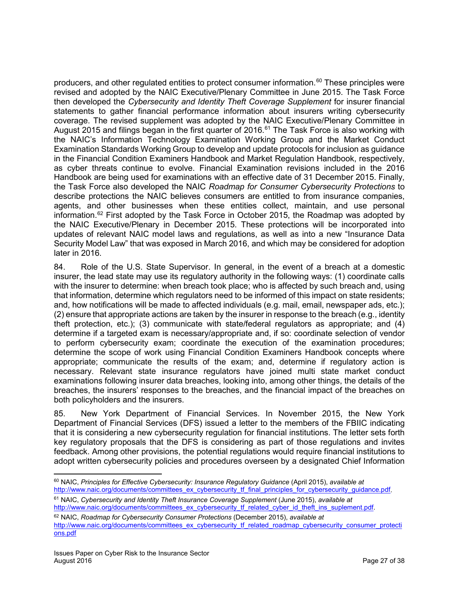producers, and other regulated entities to protect consumer information.<sup>[60](#page-26-0)</sup> These principles were revised and adopted by the NAIC Executive/Plenary Committee in June 2015. The Task Force then developed the *Cybersecurity and Identity Theft Coverage Supplement* for insurer financial statements to gather financial performance information about insurers writing cybersecurity coverage. The revised supplement was adopted by the NAIC Executive/Plenary Committee in August 2015 and filings began in the first quarter of 2016.<sup>[61](#page-26-1)</sup> The Task Force is also working with the NAIC's Information Technology Examination Working Group and the Market Conduct Examination Standards Working Group to develop and update protocols for inclusion as guidance in the Financial Condition Examiners Handbook and Market Regulation Handbook, respectively, as cyber threats continue to evolve. Financial Examination revisions included in the 2016 Handbook are being used for examinations with an effective date of 31 December 2015. Finally, the Task Force also developed the NAIC *Roadmap for Consumer Cybersecurity Protections* to describe protections the NAIC believes consumers are entitled to from insurance companies, agents, and other businesses when these entities collect, maintain, and use personal information.<sup>[62](#page-26-2)</sup> First adopted by the Task Force in October 2015, the Roadmap was adopted by the NAIC Executive/Plenary in December 2015. These protections will be incorporated into updates of relevant NAIC model laws and regulations, as well as into a new "Insurance Data Security Model Law" that was exposed in March 2016, and which may be considered for adoption later in 2016.

84. Role of the U.S. State Supervisor. In general, in the event of a breach at a domestic insurer, the lead state may use its regulatory authority in the following ways: (1) coordinate calls with the insurer to determine: when breach took place; who is affected by such breach and, using that information, determine which regulators need to be informed of this impact on state residents; and, how notifications will be made to affected individuals (e.g. mail, email, newspaper ads, etc.); (2) ensure that appropriate actions are taken by the insurer in response to the breach (e.g., identity theft protection, etc.); (3) communicate with state/federal regulators as appropriate; and (4) determine if a targeted exam is necessary/appropriate and, if so: coordinate selection of vendor to perform cybersecurity exam; coordinate the execution of the examination procedures; determine the scope of work using Financial Condition Examiners Handbook concepts where appropriate; communicate the results of the exam; and, determine if regulatory action is necessary. Relevant state insurance regulators have joined multi state market conduct examinations following insurer data breaches, looking into, among other things, the details of the breaches, the insurers' responses to the breaches, and the financial impact of the breaches on both policyholders and the insurers.

85. New York Department of Financial Services. In November 2015, the New York Department of Financial Services (DFS) issued a letter to the members of the FBIIC indicating that it is considering a new cybersecurity regulation for financial institutions. The letter sets forth key regulatory proposals that the DFS is considering as part of those regulations and invites feedback. Among other provisions, the potential regulations would require financial institutions to adopt written cybersecurity policies and procedures overseen by a designated Chief Information

<span id="page-26-1"></span><sup>61</sup> NAIC, *Cybersecurity and Identity Theft Insurance Coverage Supplement* (June 2015), *available at* [http://www.naic.org/documents/committees\\_ex\\_cybersecurity\\_tf\\_related\\_cyber\\_id\\_theft\\_ins\\_suplement.pdf.](http://www.naic.org/documents/committees_ex_cybersecurity_tf_related_cyber_id_theft_ins_suplement.pdf)

<span id="page-26-0"></span> $\overline{\phantom{a}}$ <sup>60</sup> NAIC, *Principles for Effective Cybersecurity: Insurance Regulatory Guidance* (April 2015), *available at* http://www.naic.org/documents/committees\_ex\_cybersecurity\_tf\_final\_principles\_for\_cybersecurity\_quidance.pdf.

<span id="page-26-2"></span><sup>62</sup> NAIC, *Roadmap for Cybersecurity Consumer Protections* (December 2015), *available at* [http://www.naic.org/documents/committees\\_ex\\_cybersecurity\\_tf\\_related\\_roadmap\\_cybersecurity\\_consumer\\_protecti](http://www.naic.org/documents/committees_ex_cybersecurity_tf_related_roadmap_cybersecurity_consumer_protections.pdf) [ons.pdf](http://www.naic.org/documents/committees_ex_cybersecurity_tf_related_roadmap_cybersecurity_consumer_protections.pdf)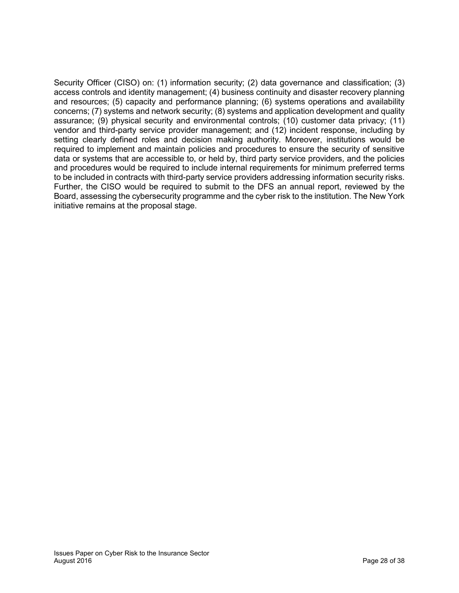Security Officer (CISO) on: (1) information security; (2) data governance and classification; (3) access controls and identity management; (4) business continuity and disaster recovery planning and resources; (5) capacity and performance planning; (6) systems operations and availability concerns; (7) systems and network security; (8) systems and application development and quality assurance; (9) physical security and environmental controls; (10) customer data privacy; (11) vendor and third-party service provider management; and (12) incident response, including by setting clearly defined roles and decision making authority. Moreover, institutions would be required to implement and maintain policies and procedures to ensure the security of sensitive data or systems that are accessible to, or held by, third party service providers, and the policies and procedures would be required to include internal requirements for minimum preferred terms to be included in contracts with third-party service providers addressing information security risks. Further, the CISO would be required to submit to the DFS an annual report, reviewed by the Board, assessing the cybersecurity programme and the cyber risk to the institution. The New York initiative remains at the proposal stage.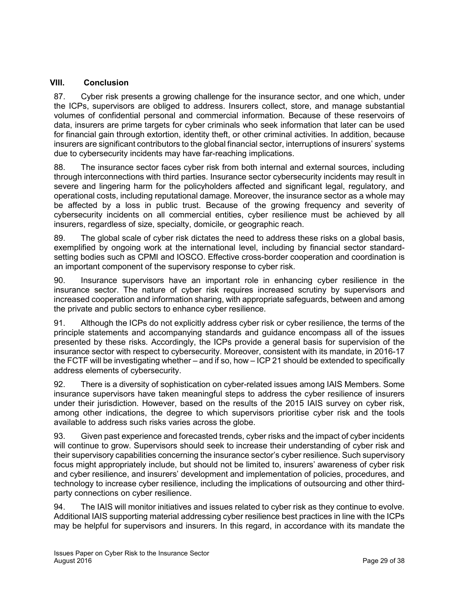## <span id="page-28-0"></span>**VIII. Conclusion**

87. Cyber risk presents a growing challenge for the insurance sector, and one which, under the ICPs, supervisors are obliged to address. Insurers collect, store, and manage substantial volumes of confidential personal and commercial information. Because of these reservoirs of data, insurers are prime targets for cyber criminals who seek information that later can be used for financial gain through extortion, identity theft, or other criminal activities. In addition, because insurers are significant contributors to the global financial sector, interruptions of insurers' systems due to cybersecurity incidents may have far-reaching implications.

88. The insurance sector faces cyber risk from both internal and external sources, including through interconnections with third parties. Insurance sector cybersecurity incidents may result in severe and lingering harm for the policyholders affected and significant legal, regulatory, and operational costs, including reputational damage. Moreover, the insurance sector as a whole may be affected by a loss in public trust. Because of the growing frequency and severity of cybersecurity incidents on all commercial entities, cyber resilience must be achieved by all insurers, regardless of size, specialty, domicile, or geographic reach.

89. The global scale of cyber risk dictates the need to address these risks on a global basis, exemplified by ongoing work at the international level, including by financial sector standardsetting bodies such as CPMI and IOSCO. Effective cross-border cooperation and coordination is an important component of the supervisory response to cyber risk.

90. Insurance supervisors have an important role in enhancing cyber resilience in the insurance sector. The nature of cyber risk requires increased scrutiny by supervisors and increased cooperation and information sharing, with appropriate safeguards, between and among the private and public sectors to enhance cyber resilience.

91. Although the ICPs do not explicitly address cyber risk or cyber resilience, the terms of the principle statements and accompanying standards and guidance encompass all of the issues presented by these risks. Accordingly, the ICPs provide a general basis for supervision of the insurance sector with respect to cybersecurity. Moreover, consistent with its mandate, in 2016-17 the FCTF will be investigating whether – and if so, how – ICP 21 should be extended to specifically address elements of cybersecurity.

92. There is a diversity of sophistication on cyber-related issues among IAIS Members. Some insurance supervisors have taken meaningful steps to address the cyber resilience of insurers under their jurisdiction. However, based on the results of the 2015 IAIS survey on cyber risk, among other indications, the degree to which supervisors prioritise cyber risk and the tools available to address such risks varies across the globe.

93. Given past experience and forecasted trends, cyber risks and the impact of cyber incidents will continue to grow. Supervisors should seek to increase their understanding of cyber risk and their supervisory capabilities concerning the insurance sector's cyber resilience. Such supervisory focus might appropriately include, but should not be limited to, insurers' awareness of cyber risk and cyber resilience, and insurers' development and implementation of policies, procedures, and technology to increase cyber resilience, including the implications of outsourcing and other thirdparty connections on cyber resilience.

94. The IAIS will monitor initiatives and issues related to cyber risk as they continue to evolve. Additional IAIS supporting material addressing cyber resilience best practices in line with the ICPs may be helpful for supervisors and insurers. In this regard, in accordance with its mandate the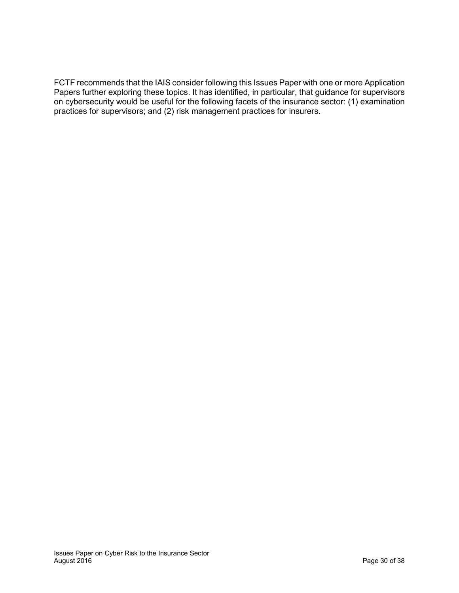FCTF recommends that the IAIS consider following this Issues Paper with one or more Application Papers further exploring these topics. It has identified, in particular, that guidance for supervisors on cybersecurity would be useful for the following facets of the insurance sector: (1) examination practices for supervisors; and (2) risk management practices for insurers.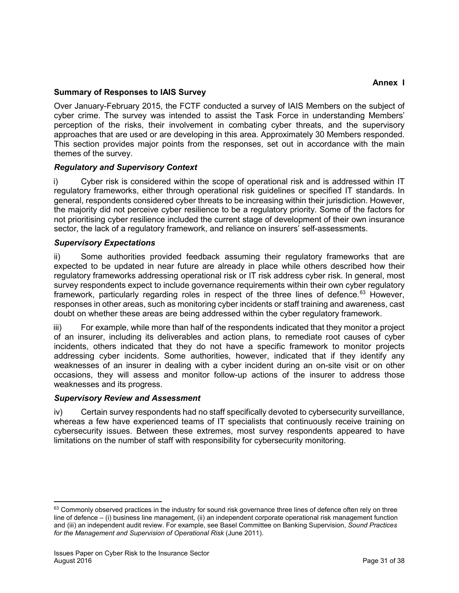## <span id="page-30-0"></span>**Summary of Responses to IAIS Survey**

Over January-February 2015, the FCTF conducted a survey of IAIS Members on the subject of cyber crime. The survey was intended to assist the Task Force in understanding Members' perception of the risks, their involvement in combating cyber threats, and the supervisory approaches that are used or are developing in this area. Approximately 30 Members responded. This section provides major points from the responses, set out in accordance with the main themes of the survey.

## *Regulatory and Supervisory Context*

i) Cyber risk is considered within the scope of operational risk and is addressed within IT regulatory frameworks, either through operational risk guidelines or specified IT standards. In general, respondents considered cyber threats to be increasing within their jurisdiction. However, the majority did not perceive cyber resilience to be a regulatory priority. Some of the factors for not prioritising cyber resilience included the current stage of development of their own insurance sector, the lack of a regulatory framework, and reliance on insurers' self-assessments.

## *Supervisory Expectations*

ii) Some authorities provided feedback assuming their regulatory frameworks that are expected to be updated in near future are already in place while others described how their regulatory frameworks addressing operational risk or IT risk address cyber risk. In general, most survey respondents expect to include governance requirements within their own cyber regulatory framework, particularly regarding roles in respect of the three lines of defence.<sup>[63](#page-30-1)</sup> However, responses in other areas, such as monitoring cyber incidents or staff training and awareness, cast doubt on whether these areas are being addressed within the cyber regulatory framework.

iii) For example, while more than half of the respondents indicated that they monitor a project of an insurer, including its deliverables and action plans, to remediate root causes of cyber incidents, others indicated that they do not have a specific framework to monitor projects addressing cyber incidents. Some authorities, however, indicated that if they identify any weaknesses of an insurer in dealing with a cyber incident during an on-site visit or on other occasions, they will assess and monitor follow-up actions of the insurer to address those weaknesses and its progress.

## *Supervisory Review and Assessment*

iv) Certain survey respondents had no staff specifically devoted to cybersecurity surveillance, whereas a few have experienced teams of IT specialists that continuously receive training on cybersecurity issues. Between these extremes, most survey respondents appeared to have limitations on the number of staff with responsibility for cybersecurity monitoring.

l

<span id="page-30-1"></span><sup>63</sup> Commonly observed practices in the industry for sound risk governance three lines of defence often rely on three line of defence – (i) business line management, (ii) an independent corporate operational risk management function and (iii) an independent audit review. For example, see Basel Committee on Banking Supervision, *Sound Practices for the Management and Supervision of Operational Risk* (June 2011).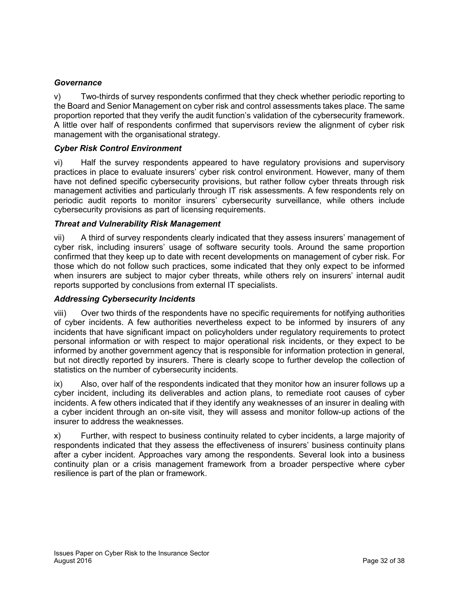## *Governance*

v) Two-thirds of survey respondents confirmed that they check whether periodic reporting to the Board and Senior Management on cyber risk and control assessments takes place. The same proportion reported that they verify the audit function's validation of the cybersecurity framework. A little over half of respondents confirmed that supervisors review the alignment of cyber risk management with the organisational strategy.

## *Cyber Risk Control Environment*

vi) Half the survey respondents appeared to have regulatory provisions and supervisory practices in place to evaluate insurers' cyber risk control environment. However, many of them have not defined specific cybersecurity provisions, but rather follow cyber threats through risk management activities and particularly through IT risk assessments. A few respondents rely on periodic audit reports to monitor insurers' cybersecurity surveillance, while others include cybersecurity provisions as part of licensing requirements.

## *Threat and Vulnerability Risk Management*

vii) A third of survey respondents clearly indicated that they assess insurers' management of cyber risk, including insurers' usage of software security tools. Around the same proportion confirmed that they keep up to date with recent developments on management of cyber risk. For those which do not follow such practices, some indicated that they only expect to be informed when insurers are subject to major cyber threats, while others rely on insurers' internal audit reports supported by conclusions from external IT specialists.

## *Addressing Cybersecurity Incidents*

viii) Over two thirds of the respondents have no specific requirements for notifying authorities of cyber incidents. A few authorities nevertheless expect to be informed by insurers of any incidents that have significant impact on policyholders under regulatory requirements to protect personal information or with respect to major operational risk incidents, or they expect to be informed by another government agency that is responsible for information protection in general, but not directly reported by insurers. There is clearly scope to further develop the collection of statistics on the number of cybersecurity incidents.

ix) Also, over half of the respondents indicated that they monitor how an insurer follows up a cyber incident, including its deliverables and action plans, to remediate root causes of cyber incidents. A few others indicated that if they identify any weaknesses of an insurer in dealing with a cyber incident through an on-site visit, they will assess and monitor follow-up actions of the insurer to address the weaknesses.

x) Further, with respect to business continuity related to cyber incidents, a large majority of respondents indicated that they assess the effectiveness of insurers' business continuity plans after a cyber incident. Approaches vary among the respondents. Several look into a business continuity plan or a crisis management framework from a broader perspective where cyber resilience is part of the plan or framework.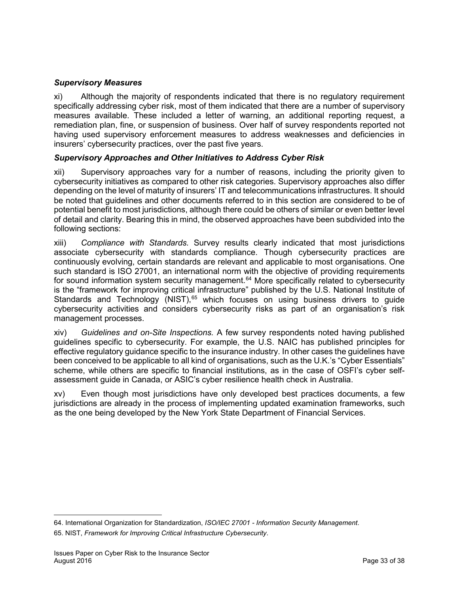## *Supervisory Measures*

xi) Although the majority of respondents indicated that there is no regulatory requirement specifically addressing cyber risk, most of them indicated that there are a number of supervisory measures available. These included a letter of warning, an additional reporting request, a remediation plan, fine, or suspension of business. Over half of survey respondents reported not having used supervisory enforcement measures to address weaknesses and deficiencies in insurers' cybersecurity practices, over the past five years.

## *Supervisory Approaches and Other Initiatives to Address Cyber Risk*

xii) Supervisory approaches vary for a number of reasons, including the priority given to cybersecurity initiatives as compared to other risk categories. Supervisory approaches also differ depending on the level of maturity of insurers' IT and telecommunications infrastructures. It should be noted that guidelines and other documents referred to in this section are considered to be of potential benefit to most jurisdictions, although there could be others of similar or even better level of detail and clarity. Bearing this in mind, the observed approaches have been subdivided into the following sections:

xiii) *Compliance with Standards.* Survey results clearly indicated that most jurisdictions associate cybersecurity with standards compliance. Though cybersecurity practices are continuously evolving, certain standards are relevant and applicable to most organisations. One such standard is ISO 27001, an international norm with the objective of providing requirements for sound information system security management.<sup>[64](#page-32-0)</sup> More specifically related to cybersecurity is the "framework for improving critical infrastructure" published by the U.S. National Institute of Standards and Technology (NIST),<sup>[65](#page-32-1)</sup> which focuses on using business drivers to guide cybersecurity activities and considers cybersecurity risks as part of an organisation's risk management processes.

xiv) *Guidelines and on-Site Inspections.* A few survey respondents noted having published guidelines specific to cybersecurity. For example, the U.S. NAIC has published principles for effective regulatory guidance specific to the insurance industry. In other cases the guidelines have been conceived to be applicable to all kind of organisations, such as the U.K.'s "Cyber Essentials" scheme, while others are specific to financial institutions, as in the case of OSFI's cyber selfassessment guide in Canada, or ASIC's cyber resilience health check in Australia.

xv) Even though most jurisdictions have only developed best practices documents, a few jurisdictions are already in the process of implementing updated examination frameworks, such as the one being developed by the New York State Department of Financial Services.

<span id="page-32-1"></span><span id="page-32-0"></span><sup>64.</sup> International Organization for Standardization, *ISO/IEC 27001 - Information Security Management*. 65. NIST, *Framework for Improving Critical Infrastructure Cybersecurity*.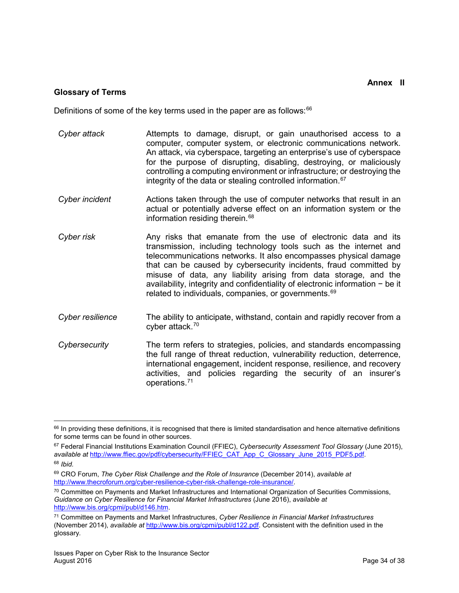#### **Annex II**

#### <span id="page-33-0"></span>**Glossary of Terms**

Definitions of some of the key terms used in the paper are as follows: $66$ 

- *Cyber attack* Attempts to damage, disrupt, or gain unauthorised access to a computer, computer system, or electronic communications network. An attack, via cyberspace, targeting an enterprise's use of cyberspace for the purpose of disrupting, disabling, destroying, or maliciously controlling a computing environment or infrastructure; or destroying the integrity of the data or stealing controlled information.<sup>[67](#page-33-2)</sup>
- *Cyber incident* Actions taken through the use of computer networks that result in an actual or potentially adverse effect on an information system or the information residing therein. $68$
- *Cyber risk* Any risks that emanate from the use of electronic data and its transmission, including technology tools such as the internet and telecommunications networks. It also encompasses physical damage that can be caused by cybersecurity incidents, fraud committed by misuse of data, any liability arising from data storage, and the availability, integrity and confidentiality of electronic information − be it related to individuals, companies, or governments.<sup>[69](#page-33-4)</sup>
- *Cyber resilience* The ability to anticipate, withstand, contain and rapidly recover from a cyber attack.[70](#page-33-5)
- *Cybersecurity* The term refers to strategies, policies, and standards encompassing the full range of threat reduction, vulnerability reduction, deterrence, international engagement, incident response, resilience, and recovery activities, and policies regarding the security of an insurer's operations.[71](#page-33-6)

<span id="page-33-1"></span>l <sup>66</sup> In providing these definitions, it is recognised that there is limited standardisation and hence alternative definitions for some terms can be found in other sources.

<span id="page-33-2"></span><sup>67</sup> Federal Financial Institutions Examination Council (FFIEC), *Cybersecurity Assessment Tool Glossary* (June 2015), *available at* [http://www.ffiec.gov/pdf/cybersecurity/FFIEC\\_CAT\\_App\\_C\\_Glossary\\_June\\_2015\\_PDF5.pdf.](http://www.ffiec.gov/pdf/cybersecurity/FFIEC_CAT_App_C_Glossary_June_2015_PDF5.pdf)

<span id="page-33-3"></span><sup>68</sup> *Ibid.* 

<span id="page-33-4"></span><sup>69</sup> CRO Forum, *The Cyber Risk Challenge and the Role of Insurance* (December 2014), *available at* [http://www.thecroforum.org/cyber-resilience-cyber-risk-challenge-role-insurance/.](http://www.thecroforum.org/cyber-resilience-cyber-risk-challenge-role-insurance/)

<span id="page-33-5"></span><sup>70</sup> Committee on Payments and Market Infrastructures and International Organization of Securities Commissions, *Guidance on Cyber Resilience for Financial Market Infrastructures* (June 2016), *available at* [http://www.bis.org/cpmi/publ/d146.htm.](http://www.bis.org/cpmi/publ/d146.htm)

<span id="page-33-6"></span><sup>71</sup> Committee on Payments and Market Infrastructures, *Cyber Resilience in Financial Market Infrastructures* (November 2014), *available at* [http://www.bis.org/cpmi/publ/d122.pdf.](http://www.bis.org/cpmi/publ/d122.pdf) Consistent with the definition used in the glossary*.*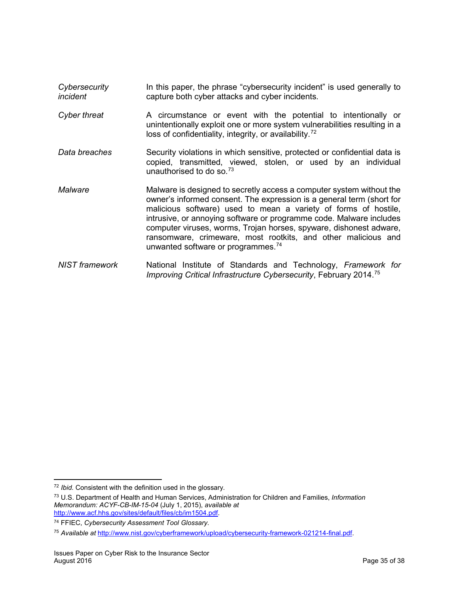- *Cybersecurity incident* In this paper, the phrase "cybersecurity incident" is used generally to capture both cyber attacks and cyber incidents.
- *Cyber threat* A circumstance or event with the potential to intentionally or unintentionally exploit one or more system vulnerabilities resulting in a loss of confidentiality, integrity, or availability.<sup>[72](#page-34-0)</sup>
- *Data breaches* Security violations in which sensitive, protected or confidential data is copied, transmitted, viewed, stolen, or used by an individual unauthorised to do so[.73](#page-34-1)
- *Malware* Malware is designed to secretly access a computer system without the owner's informed consent. The expression is a general term (short for malicious software) used to mean a variety of forms of hostile, intrusive, or annoying software or programme code. Malware includes computer viruses, worms, Trojan horses, spyware, dishonest adware, ransomware, crimeware, most rootkits, and other malicious and unwanted software or programmes.<sup>[74](#page-34-2)</sup>
- *NIST framework* National Institute of Standards and Technology, *Framework for Improving Critical Infrastructure Cybersecurity*, February 2014.[75](#page-34-3)

l

<span id="page-34-0"></span><sup>72</sup> *Ibid.* Consistent with the definition used in the glossary*.*

<span id="page-34-1"></span><sup>73</sup> U.S. Department of Health and Human Services, Administration for Children and Families, *Information Memorandum: ACYF-CB-IM-15-04* (July 1, 2015), *available at*  [http://www.acf.hhs.gov/sites/default/files/cb/im1504.pdf.](http://www.acf.hhs.gov/sites/default/files/cb/im1504.pdf)

<span id="page-34-2"></span><sup>74</sup> FFIEC, *Cybersecurity Assessment Tool Glossary.*

<span id="page-34-3"></span><sup>75</sup> *Available at* [http://www.nist.gov/cyberframework/upload/cybersecurity-framework-021214-final.pdf.](http://www.nist.gov/cyberframework/upload/cybersecurity-framework-021214-final.pdf)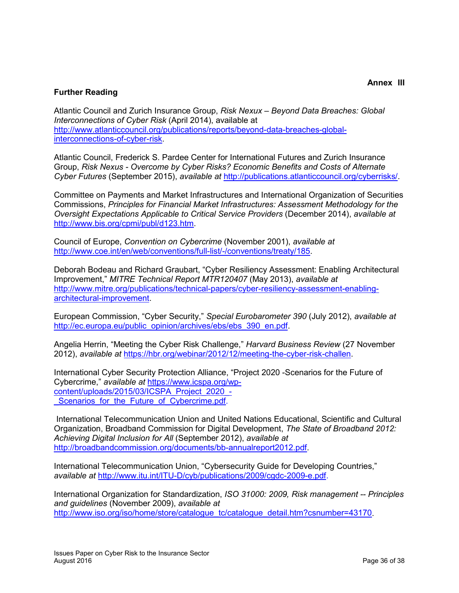## <span id="page-35-0"></span>**Further Reading**

Atlantic Council and Zurich Insurance Group, *Risk Nexux – Beyond Data Breaches: Global Interconnections of Cyber Risk* (April 2014), available at [http://www.atlanticcouncil.org/publications/reports/beyond-data-breaches-global](http://www.atlanticcouncil.org/publications/reports/beyond-data-breaches-global-interconnections-of-cyber-risk)[interconnections-of-cyber-risk.](http://www.atlanticcouncil.org/publications/reports/beyond-data-breaches-global-interconnections-of-cyber-risk)

Atlantic Council, Frederick S. Pardee Center for International Futures and Zurich Insurance Group, *Risk Nexus - Overcome by Cyber Risks? Economic Benefits and Costs of Alternate Cyber Futures* (September 2015), *available at* [http://publications.atlanticcouncil.org/cyberrisks/.](http://publications.atlanticcouncil.org/cyberrisks/)

Committee on Payments and Market Infrastructures and International Organization of Securities Commissions, *Principles for Financial Market Infrastructures: Assessment Methodology for the Oversight Expectations Applicable to Critical Service Providers* (December 2014), *available at* [http://www.bis.org/cpmi/publ/d123.htm.](http://www.bis.org/cpmi/publ/d123.htm)

Council of Europe, *Convention on Cybercrime* (November 2001), *available at* [http://www.coe.int/en/web/conventions/full-list/-/conventions/treaty/185.](http://www.coe.int/en/web/conventions/full-list/-/conventions/treaty/185)

Deborah Bodeau and Richard Graubart, "Cyber Resiliency Assessment: Enabling Architectural Improvement," *MITRE Technical Report MTR120407* (May 2013), *available at* [http://www.mitre.org/publications/technical-papers/cyber-resiliency-assessment-enabling](http://www.mitre.org/publications/technical-papers/cyber-resiliency-assessment-enabling-architectural-improvement)[architectural-improvement.](http://www.mitre.org/publications/technical-papers/cyber-resiliency-assessment-enabling-architectural-improvement)

European Commission, "Cyber Security," *Special Eurobarometer 390* (July 2012), *available at* [http://ec.europa.eu/public\\_opinion/archives/ebs/ebs\\_390\\_en.pdf.](http://ec.europa.eu/public_opinion/archives/ebs/ebs_390_en.pdf)

Angelia Herrin, "Meeting the Cyber Risk Challenge," *Harvard Business Review* (27 November 2012), *available at* [https://hbr.org/webinar/2012/12/meeting-the-cyber-risk-challen.](https://hbr.org/webinar/2012/12/meeting-the-cyber-risk-challen)

International Cyber Security Protection Alliance, "Project 2020 -Scenarios for the Future of Cybercrime," *available at* [https://www.icspa.org/wp](https://www.icspa.org/wp-content/uploads/2015/03/ICSPA_Project_2020_-_Scenarios_for_the_Future_of_Cybercrime.pdf)[content/uploads/2015/03/ICSPA\\_Project\\_2020\\_-](https://www.icspa.org/wp-content/uploads/2015/03/ICSPA_Project_2020_-_Scenarios_for_the_Future_of_Cybercrime.pdf) Scenarios for the Future of Cybercrime.pdf.

International Telecommunication Union and United Nations Educational, Scientific and Cultural Organization, Broadband Commission for Digital Development, *The State of Broadband 2012: Achieving Digital Inclusion for All* (September 2012), *available at* [http://broadbandcommission.org/documents/bb-annualreport2012.pdf.](http://broadbandcommission.org/documents/bb-annualreport2012.pdf)

International Telecommunication Union, "Cybersecurity Guide for Developing Countries," *available at* [http://www.itu.int/ITU-D/cyb/publications/2009/cgdc-2009-e.pdf.](http://www.itu.int/ITU-D/cyb/publications/2009/cgdc-2009-e.pdf)

International Organization for Standardization, *ISO 31000: 2009, Risk management -- Principles and guidelines* (November 2009), *available at* [http://www.iso.org/iso/home/store/catalogue\\_tc/catalogue\\_detail.htm?csnumber=43170.](http://www.iso.org/iso/home/store/catalogue_tc/catalogue_detail.htm?csnumber=43170)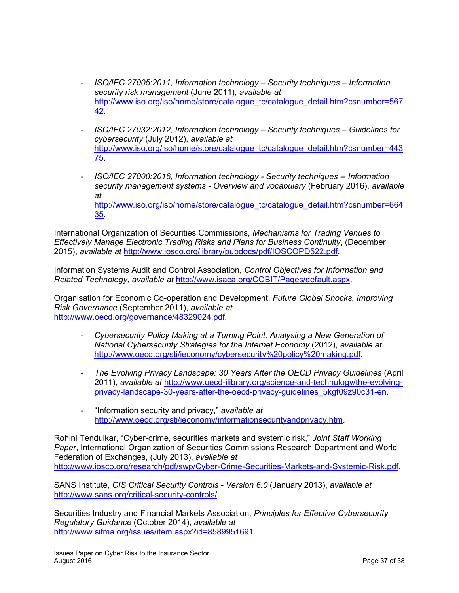- *ISO/IEC 27005:2011, Information technology – Security techniques – Information security risk management* (June 2011), *available at* [http://www.iso.org/iso/home/store/catalogue\\_tc/catalogue\\_detail.htm?csnumber=567](http://www.iso.org/iso/home/store/catalogue_tc/catalogue_detail.htm?csnumber=56742) [42.](http://www.iso.org/iso/home/store/catalogue_tc/catalogue_detail.htm?csnumber=56742)
- *ISO/IEC 27032:2012, Information technology – Security techniques – Guidelines for cybersecurity* (July 2012), *available at* [http://www.iso.org/iso/home/store/catalogue\\_tc/catalogue\\_detail.htm?csnumber=443](http://www.iso.org/iso/home/store/catalogue_tc/catalogue_detail.htm?csnumber=44375) [75.](http://www.iso.org/iso/home/store/catalogue_tc/catalogue_detail.htm?csnumber=44375)
- *ISO/IEC 27000:2016, Information technology - Security techniques -- Information security management systems - Overview and vocabulary* (February 2016), *available at*  [http://www.iso.org/iso/home/store/catalogue\\_tc/catalogue\\_detail.htm?csnumber=664](http://www.iso.org/iso/home/store/catalogue_tc/catalogue_detail.htm?csnumber=66435) [35.](http://www.iso.org/iso/home/store/catalogue_tc/catalogue_detail.htm?csnumber=66435)

International Organization of Securities Commissions, *Mechanisms for Trading Venues to Effectively Manage Electronic Trading Risks and Plans for Business Continuity*, (December 2015), *available at* [http://www.iosco.org/library/pubdocs/pdf/IOSCOPD522.pdf.](http://www.iosco.org/library/pubdocs/pdf/IOSCOPD522.pdf)

Information Systems Audit and Control Association, *Control Objectives for Information and Related Technology*, *available at* [http://www.isaca.org/COBIT/Pages/default.aspx.](http://www.isaca.org/COBIT/Pages/default.aspx)

Organisation for Economic Co-operation and Development, *Future Global Shocks, Improving Risk Governance* (September 2011), *available at*  <http://www.oecd.org/governance/48329024.pdf>*.* 

- *Cybersecurity Policy Making at a Turning Point, Analysing a New Generation of National Cybersecurity Strategies for the Internet Economy* (2012), *available at*  [http://www.oecd.org/sti/ieconomy/cybersecurity%20policy%20making.pdf.](http://www.oecd.org/sti/ieconomy/cybersecurity%20policy%20making.pdf)
- *The Evolving Privacy Landscape: 30 Years After the OECD Privacy Guidelines* (April 2011), *available at* [http://www.oecd-ilibrary.org/science-and-technology/the-evolving](http://www.oecd-ilibrary.org/science-and-technology/the-evolving-privacy-landscape-30-years-after-the-oecd-privacy-guidelines_5kgf09z90c31-en)[privacy-landscape-30-years-after-the-oecd-privacy-guidelines\\_5kgf09z90c31-en.](http://www.oecd-ilibrary.org/science-and-technology/the-evolving-privacy-landscape-30-years-after-the-oecd-privacy-guidelines_5kgf09z90c31-en)
- "Information security and privacy," *available at* [http://www.oecd.org/sti/ieconomy/informationsecurityandprivacy.htm.](http://www.oecd.org/sti/ieconomy/informationsecurityandprivacy.htm)

Rohini Tendulkar, "Cyber-crime, securities markets and systemic risk," *Joint Staff Working Paper*, International Organization of Securities Commissions Research Department and World Federation of Exchanges, (July 2013), *available at* [http://www.iosco.org/research/pdf/swp/Cyber-Crime-Securities-Markets-and-Systemic-Risk.pdf.](http://www.iosco.org/research/pdf/swp/Cyber-Crime-Securities-Markets-and-Systemic-Risk.pdf)

SANS Institute, *CIS Critical Security Controls - Version 6.0* (January 2013), *available at* [http://www.sans.org/critical-security-controls/.](http://www.sans.org/critical-security-controls/)

Securities Industry and Financial Markets Association, *Principles for Effective Cybersecurity Regulatory Guidance* (October 2014), *available at* [http://www.sifma.org/issues/item.aspx?id=8589951691.](http://www.sifma.org/issues/item.aspx?id=8589951691)